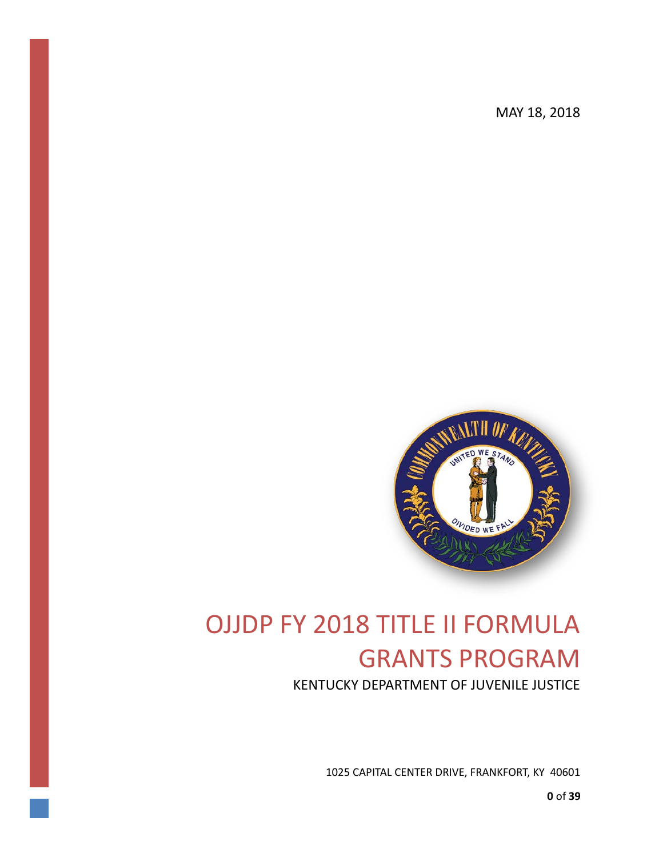MAY 18, 2018



# OJJDP FY 2018 TITLE II FORMULA GRANTS PROGRAM

KENTUCKY DEPARTMENT OF JUVENILE JUSTICE

1025 CAPITAL CENTER DRIVE, FRANKFORT, KY 40601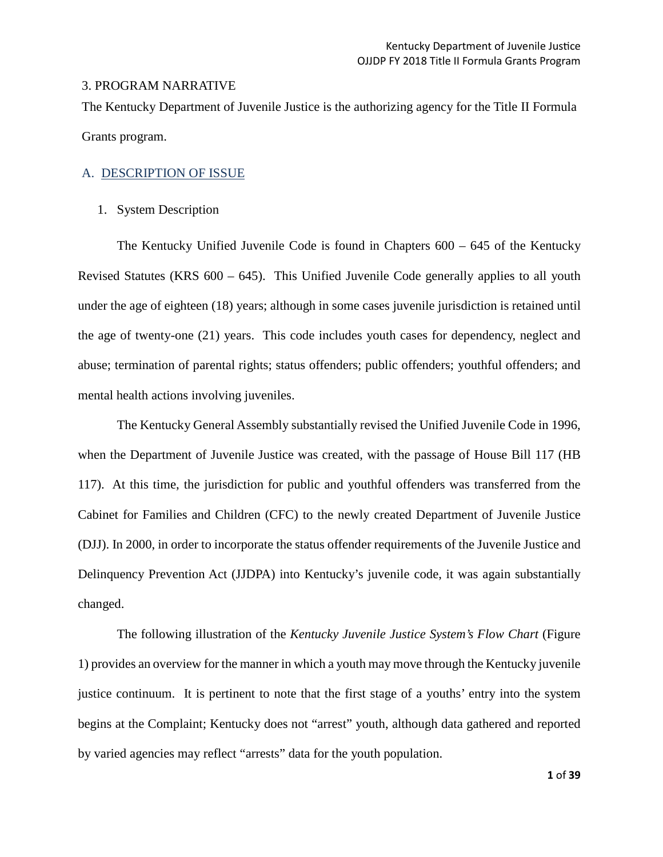#### 3. PROGRAM NARRATIVE

 The Kentucky Department of Juvenile Justice is the authorizing agency for the Title II Formula Grants program.

# A. DESCRIPTION OF ISSUE

1. System Description

 The Kentucky Unified Juvenile Code is found in Chapters 600 – 645 of the Kentucky the age of twenty-one (21) years. This code includes youth cases for dependency, neglect and Revised Statutes (KRS 600 – 645). This Unified Juvenile Code generally applies to all youth under the age of eighteen (18) years; although in some cases juvenile jurisdiction is retained until abuse; termination of parental rights; status offenders; public offenders; youthful offenders; and mental health actions involving juveniles.

 when the Department of Juvenile Justice was created, with the passage of House Bill 117 (HB 117). At this time, the jurisdiction for public and youthful offenders was transferred from the The Kentucky General Assembly substantially revised the Unified Juvenile Code in 1996, Cabinet for Families and Children (CFC) to the newly created Department of Juvenile Justice (DJJ). In 2000, in order to incorporate the status offender requirements of the Juvenile Justice and Delinquency Prevention Act (JJDPA) into Kentucky's juvenile code, it was again substantially changed.

 The following illustration of the *Kentucky Juvenile Justice System's Flow Chart* (Figure 1) provides an overview for the manner in which a youth may move through the Kentucky juvenile justice continuum. It is pertinent to note that the first stage of a youths' entry into the system begins at the Complaint; Kentucky does not "arrest" youth, although data gathered and reported by varied agencies may reflect "arrests" data for the youth population.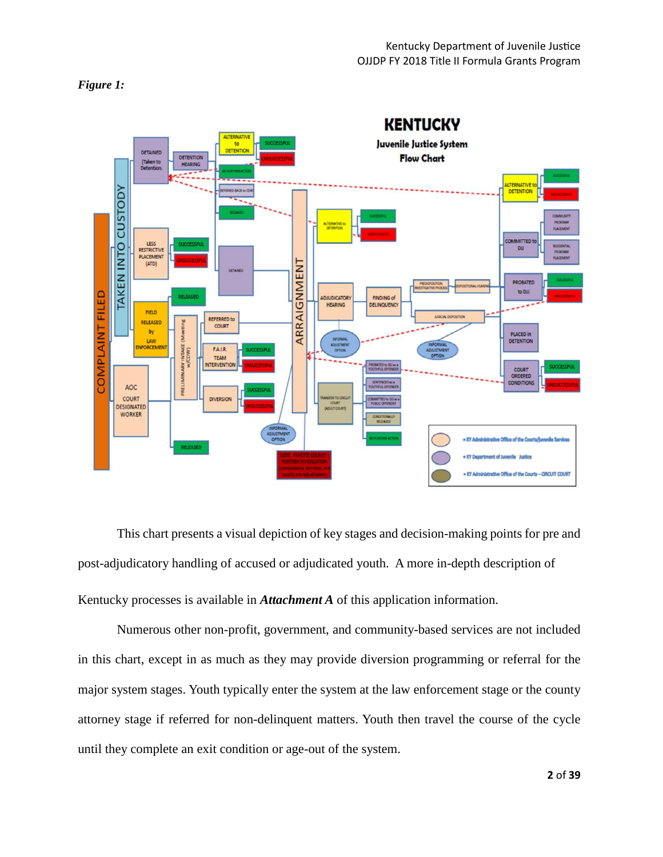



This chart presents a visual depiction of key stages and decision-making points for pre and post-adjudicatory handling of accused or adjudicated youth. A more in-depth description of Kentucky processes is available in *Attachment A* of this application information.

 in this chart, except in as much as they may provide diversion programming or referral for the Numerous other non-profit, government, and community-based services are not included major system stages. Youth typically enter the system at the law enforcement stage or the county attorney stage if referred for non-delinquent matters. Youth then travel the course of the cycle until they complete an exit condition or age-out of the system.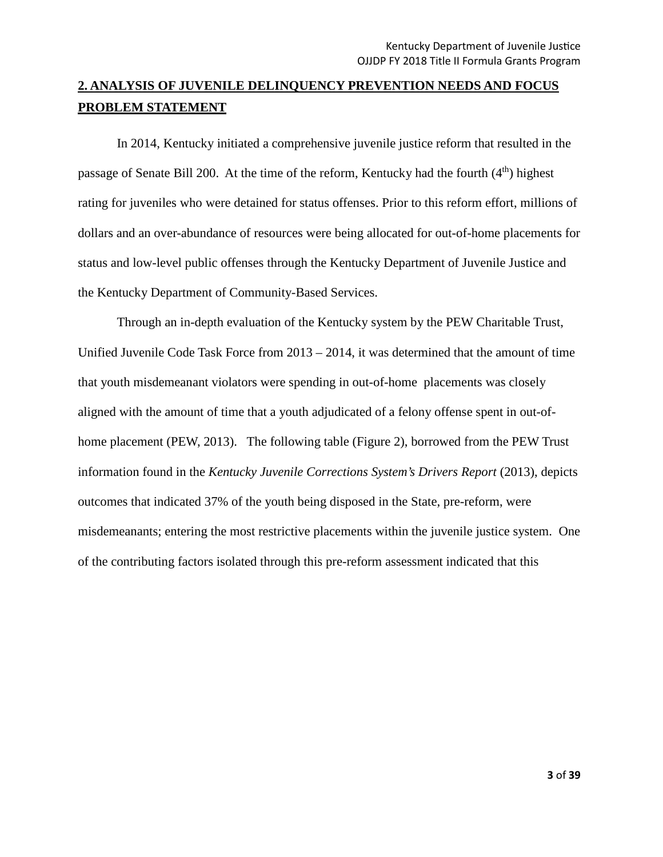# **2. ANALYSIS OF JUVENILE DELINQUENCY PREVENTION NEEDS AND FOCUS PROBLEM STATEMENT**

passage of Senate Bill 200. At the time of the reform, Kentucky had the fourth (4<sup>th</sup>) highest In 2014, Kentucky initiated a comprehensive juvenile justice reform that resulted in the rating for juveniles who were detained for status offenses. Prior to this reform effort, millions of dollars and an over-abundance of resources were being allocated for out-of-home placements for status and low-level public offenses through the Kentucky Department of Juvenile Justice and the Kentucky Department of Community-Based Services.

 home placement (PEW, 2013). The following table (Figure 2), borrowed from the PEW Trust Through an in-depth evaluation of the Kentucky system by the PEW Charitable Trust, Unified Juvenile Code Task Force from 2013 – 2014, it was determined that the amount of time that youth misdemeanant violators were spending in out-of-home placements was closely aligned with the amount of time that a youth adjudicated of a felony offense spent in out-ofinformation found in the *Kentucky Juvenile Corrections System's Drivers Report* (2013), depicts outcomes that indicated 37% of the youth being disposed in the State, pre-reform, were misdemeanants; entering the most restrictive placements within the juvenile justice system. One of the contributing factors isolated through this pre-reform assessment indicated that this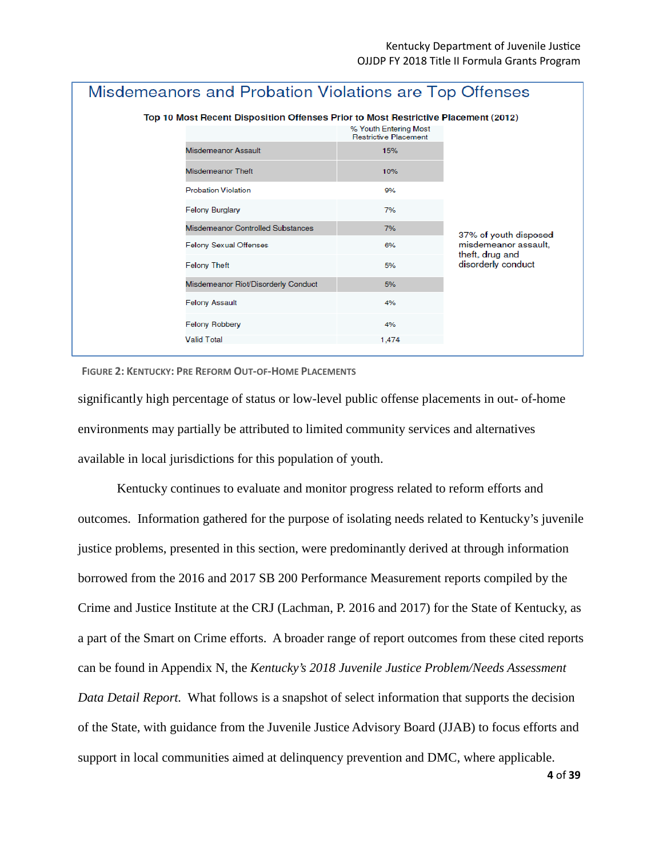| Misdemeanors and Probation Violations are Top Offenses |                                                                                    |                                                       |                                         |  |
|--------------------------------------------------------|------------------------------------------------------------------------------------|-------------------------------------------------------|-----------------------------------------|--|
|                                                        | Top 10 Most Recent Disposition Offenses Prior to Most Restrictive Placement (2012) |                                                       |                                         |  |
|                                                        |                                                                                    | % Youth Entering Most<br><b>Restrictive Placement</b> |                                         |  |
|                                                        | Misdemeanor Assault                                                                | 15%                                                   |                                         |  |
|                                                        | <b>Misdemeanor Theft</b>                                                           | 10%                                                   |                                         |  |
|                                                        | <b>Probation Violation</b>                                                         | 9%                                                    |                                         |  |
|                                                        | <b>Felony Burglary</b>                                                             | 7%                                                    |                                         |  |
|                                                        | Misdemeanor Controlled Substances                                                  | 7%                                                    | 37% of youth disposed                   |  |
|                                                        | <b>Felony Sexual Offenses</b>                                                      | 6%                                                    | misdemeanor assault,<br>theft, drug and |  |
|                                                        | <b>Felony Theft</b>                                                                | 5%                                                    | disorderly conduct                      |  |
|                                                        | Misdemeanor Riot/Disorderly Conduct                                                | 5%                                                    |                                         |  |
|                                                        | <b>Felony Assault</b>                                                              | 4%                                                    |                                         |  |
|                                                        | <b>Felony Robbery</b>                                                              | 4%                                                    |                                         |  |
|                                                        | <b>Valid Total</b>                                                                 | 1,474                                                 |                                         |  |

#### **FIGURE 2: KENTUCKY: PRE REFORM OUT-OF-HOME PLACEMENTS**

 significantly high percentage of status or low-level public offense placements in out- of-home environments may partially be attributed to limited community services and alternatives available in local jurisdictions for this population of youth.

 can be found in Appendix N, the *Kentucky's 2018 Juvenile Justice Problem/Needs Assessment Data Detail Report.* What follows is a snapshot of select information that supports the decision Kentucky continues to evaluate and monitor progress related to reform efforts and outcomes. Information gathered for the purpose of isolating needs related to Kentucky's juvenile justice problems, presented in this section, were predominantly derived at through information borrowed from the 2016 and 2017 SB 200 Performance Measurement reports compiled by the Crime and Justice Institute at the CRJ (Lachman, P. 2016 and 2017) for the State of Kentucky, as a part of the Smart on Crime efforts. A broader range of report outcomes from these cited reports of the State, with guidance from the Juvenile Justice Advisory Board (JJAB) to focus efforts and support in local communities aimed at delinquency prevention and DMC, where applicable.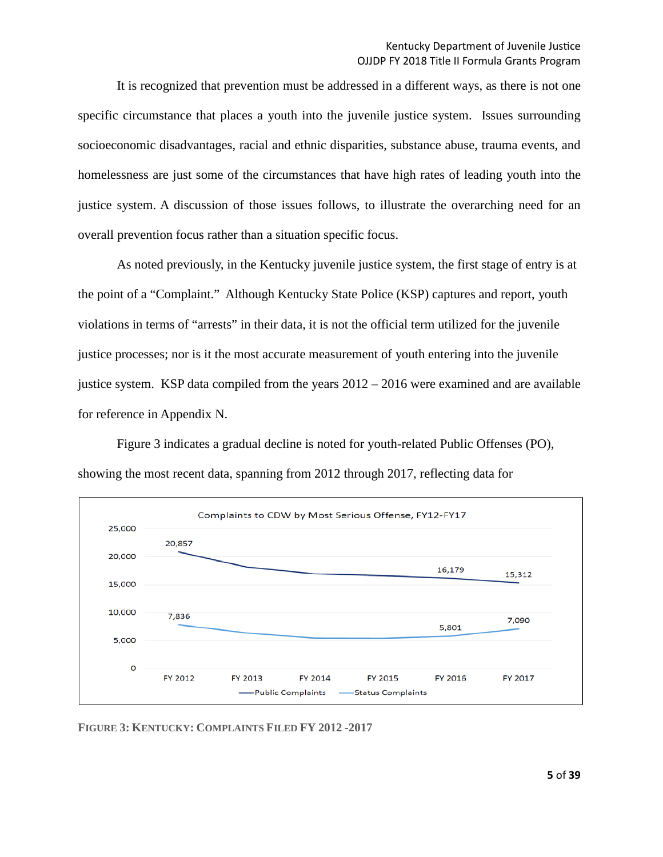specific circumstance that places a youth into the juvenile justice system. Issues surrounding homelessness are just some of the circumstances that have high rates of leading youth into the overall prevention focus rather than a situation specific focus. It is recognized that prevention must be addressed in a different ways, as there is not one socioeconomic disadvantages, racial and ethnic disparities, substance abuse, trauma events, and justice system. A discussion of those issues follows, to illustrate the overarching need for an

 the point of a "Complaint." Although Kentucky State Police (KSP) captures and report, youth As noted previously, in the Kentucky juvenile justice system, the first stage of entry is at violations in terms of "arrests" in their data, it is not the official term utilized for the juvenile justice processes; nor is it the most accurate measurement of youth entering into the juvenile justice system. KSP data compiled from the years 2012 – 2016 were examined and are available for reference in Appendix N.

 showing the most recent data, spanning from 2012 through 2017, reflecting data for Figure 3 indicates a gradual decline is noted for youth-related Public Offenses (PO),



 **FIGURE 3: KENTUCKY: COMPLAINTS FILED FY 2012 -2017**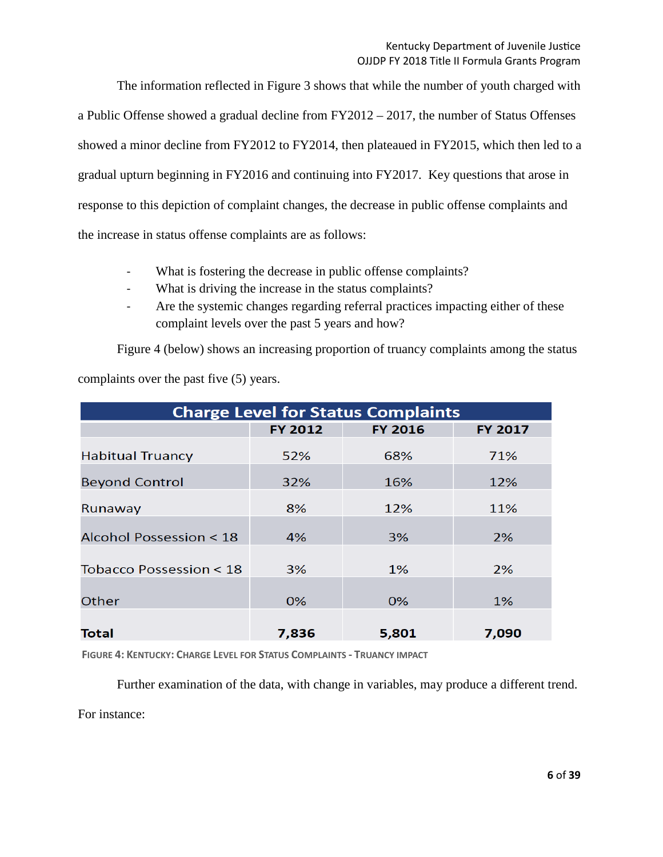The information reflected in Figure 3 shows that while the number of youth charged with a Public Offense showed a gradual decline from FY2012 – 2017, the number of Status Offenses showed a minor decline from FY2012 to FY2014, then plateaued in FY2015, which then led to a gradual upturn beginning in FY2016 and continuing into FY2017. Key questions that arose in response to this depiction of complaint changes, the decrease in public offense complaints and the increase in status offense complaints are as follows:

- What is fostering the decrease in public offense complaints?
- What is driving the increase in the status complaints?
- Are the systemic changes regarding referral practices impacting either of these complaint levels over the past 5 years and how?

 complaints over the past five (5) years. Figure 4 (below) shows an increasing proportion of truancy complaints among the status

| <b>Charge Level for Status Complaints</b> |                |                |                |  |
|-------------------------------------------|----------------|----------------|----------------|--|
|                                           | <b>FY 2012</b> | <b>FY 2016</b> | <b>FY 2017</b> |  |
| <b>Habitual Truancy</b>                   | 52%            | 68%            | 71%            |  |
| <b>Beyond Control</b>                     | 32%            | 16%            | 12%            |  |
| Runaway                                   | 8%             | 12%            | 11%            |  |
| Alcohol Possession < 18                   | 4%             | 3%             | 2%             |  |
| Tobacco Possession < 18                   | 3%             | $1\%$          | 2%             |  |
| Other                                     | $0\%$          | 0%             | $1\%$          |  |
| Total                                     | 7,836          | 5,801          | 7,090          |  |

**FIGURE 4: KENTUCKY: CHARGE LEVEL FOR STATUS COMPLAINTS - TRUANCY IMPACT** 

Further examination of the data, with change in variables, may produce a different trend.

For instance: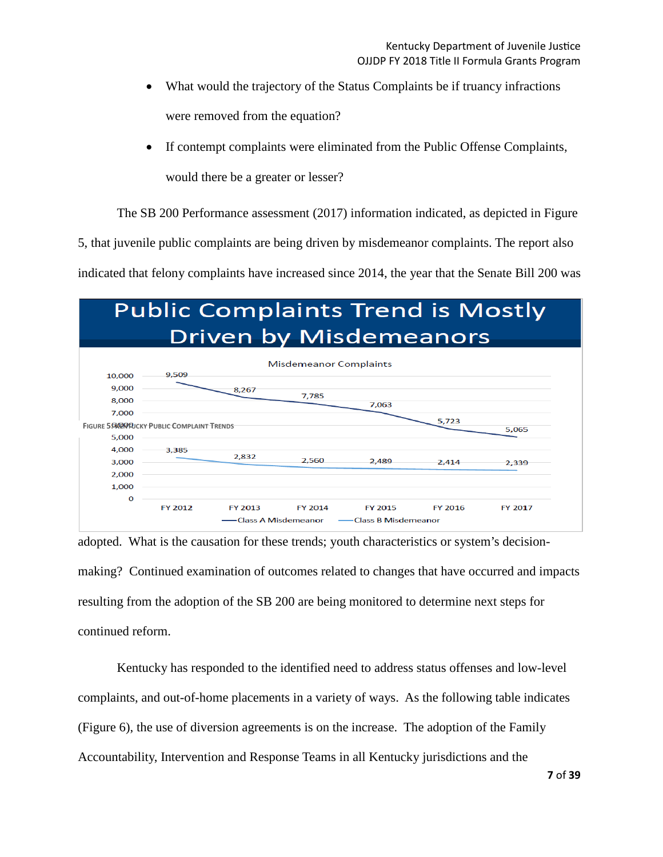- • What would the trajectory of the Status Complaints be if truancy infractions were removed from the equation?
- • If contempt complaints were eliminated from the Public Offense Complaints, would there be a greater or lesser?

The SB 200 Performance assessment (2017) information indicated, as depicted in Figure

5, that juvenile public complaints are being driven by misdemeanor complaints. The report also

indicated that felony complaints have increased since 2014, the year that the Senate Bill 200 was

| <b>Public Complaints Trend is Mostly</b><br><b>Driven by Misdemeanors</b> |         |                |                                 |                                              |                |                |
|---------------------------------------------------------------------------|---------|----------------|---------------------------------|----------------------------------------------|----------------|----------------|
|                                                                           | 9.509   |                | <b>Misdemeanor Complaints</b>   |                                              |                |                |
| 10,000<br>9,000<br>8.000                                                  |         | 8,267          | 7,785                           |                                              |                |                |
| 7,000<br><b>FIGURE 5.6KOPPUCKY PUBLIC COMPLAINT TRENDS</b>                |         |                |                                 | 7,063                                        | 5,723          | 5,065          |
| 5,000<br>4.000<br>3.000                                                   | 3.385   | 2.832          | 2,560                           | 2,489                                        | 2.414          | 2,339          |
| 2.000<br>1,000                                                            |         |                |                                 |                                              |                |                |
| O                                                                         | FY 2012 | <b>FY 2013</b> | FY 2014<br>-Class A Misdemeanor | <b>FY 2015</b><br><b>Class B Misdemeanor</b> | <b>FY 2016</b> | <b>FY 2017</b> |

adopted. What is the causation for these trends; youth characteristics or system's decisionmaking? Continued examination of outcomes related to changes that have occurred and impacts resulting from the adoption of the SB 200 are being monitored to determine next steps for continued reform.

 complaints, and out-of-home placements in a variety of ways. As the following table indicates Kentucky has responded to the identified need to address status offenses and low-level (Figure 6), the use of diversion agreements is on the increase. The adoption of the Family Accountability, Intervention and Response Teams in all Kentucky jurisdictions and the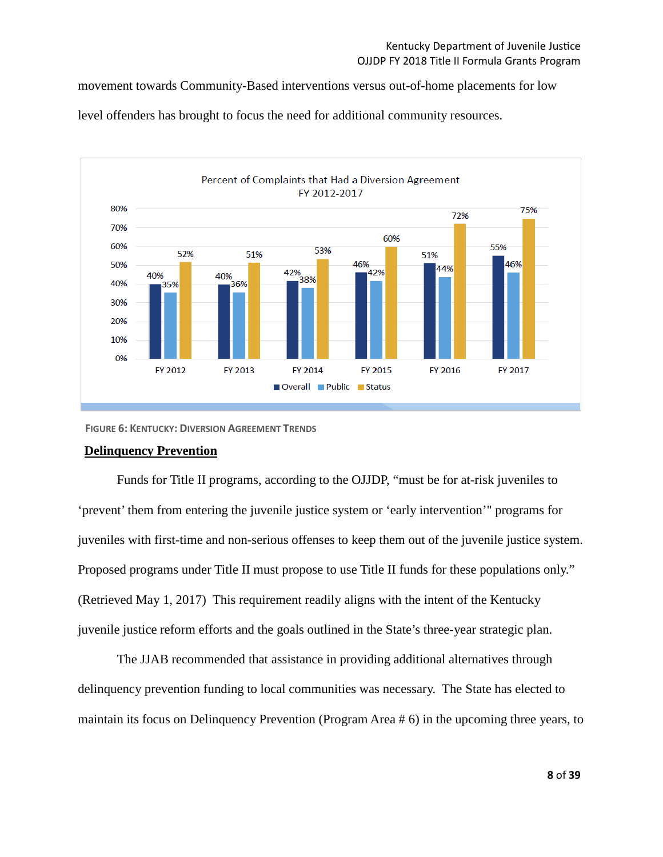movement towards Community-Based interventions versus out-of-home placements for low

Percent of Complaints that Had a Diversion Agreement FY 2012-2017 80% 75% 72% 70% 60% 55% 60% 53% 52% 51% 51% 46% 46% 50% 42% 38% 44% 42% 40% 40% 40% .<br>36% 35% 30% 20% 10% 0% FY 2012 FY 2013 FY 2014 FY 2015 FY 2016 FY 2017 Overall Public Status

level offenders has brought to focus the need for additional community resources.

**FIGURE 6: KENTUCKY: DIVERSION AGREEMENT TRENDS** 

# **Delinquency Prevention**

 Proposed programs under Title II must propose to use Title II funds for these populations only." (Retrieved May 1, 2017) This requirement readily aligns with the intent of the Kentucky Funds for Title II programs, according to the OJJDP, "must be for at-risk juveniles to 'prevent' them from entering the juvenile justice system or 'early intervention'" programs for juveniles with first-time and non-serious offenses to keep them out of the juvenile justice system.

 juvenile justice reform efforts and the goals outlined in the State's three-year strategic plan. The JJAB recommended that assistance in providing additional alternatives through delinquency prevention funding to local communities was necessary. The State has elected to maintain its focus on Delinquency Prevention (Program Area # 6) in the upcoming three years, to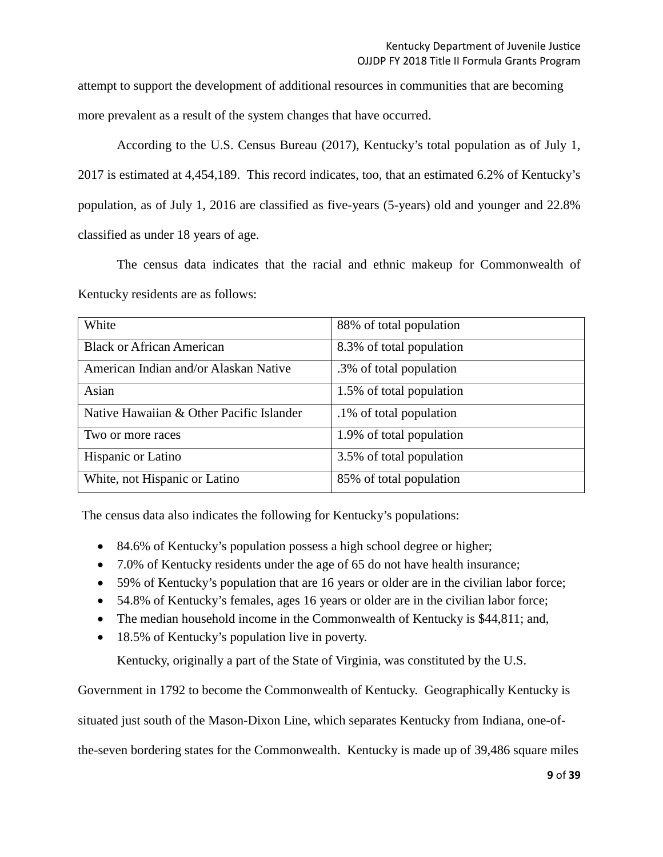more prevalent as a result of the system changes that have occurred. attempt to support the development of additional resources in communities that are becoming

According to the U.S. Census Bureau (2017), Kentucky's total population as of July 1, 2017 is estimated at 4,454,189. This record indicates, too, that an estimated 6.2% of Kentucky's population, as of July 1, 2016 are classified as five-years (5-years) old and younger and 22.8% classified as under 18 years of age.

 Kentucky residents are as follows: The census data indicates that the racial and ethnic makeup for Commonwealth of

| White                                    | 88% of total population  |
|------------------------------------------|--------------------------|
| <b>Black or African American</b>         | 8.3% of total population |
| American Indian and/or Alaskan Native    | .3% of total population  |
| Asian                                    | 1.5% of total population |
| Native Hawaiian & Other Pacific Islander | .1% of total population  |
| Two or more races                        | 1.9% of total population |
| Hispanic or Latino                       | 3.5% of total population |
| White, not Hispanic or Latino            | 85% of total population  |

The census data also indicates the following for Kentucky's populations:

- 84.6% of Kentucky's population possess a high school degree or higher;
- 7.0% of Kentucky residents under the age of 65 do not have health insurance;
- 59% of Kentucky's population that are 16 years or older are in the civilian labor force;
- 54.8% of Kentucky's females, ages 16 years or older are in the civilian labor force;
- The median household income in the Commonwealth of Kentucky is \$44,811; and,
- 18.5% of Kentucky's population live in poverty.

Kentucky, originally a part of the State of Virginia, was constituted by the U.S.

Government in 1792 to become the Commonwealth of Kentucky. Geographically Kentucky is

situated just south of the Mason-Dixon Line, which separates Kentucky from Indiana, one-of-

the-seven bordering states for the Commonwealth. Kentucky is made up of 39,486 square miles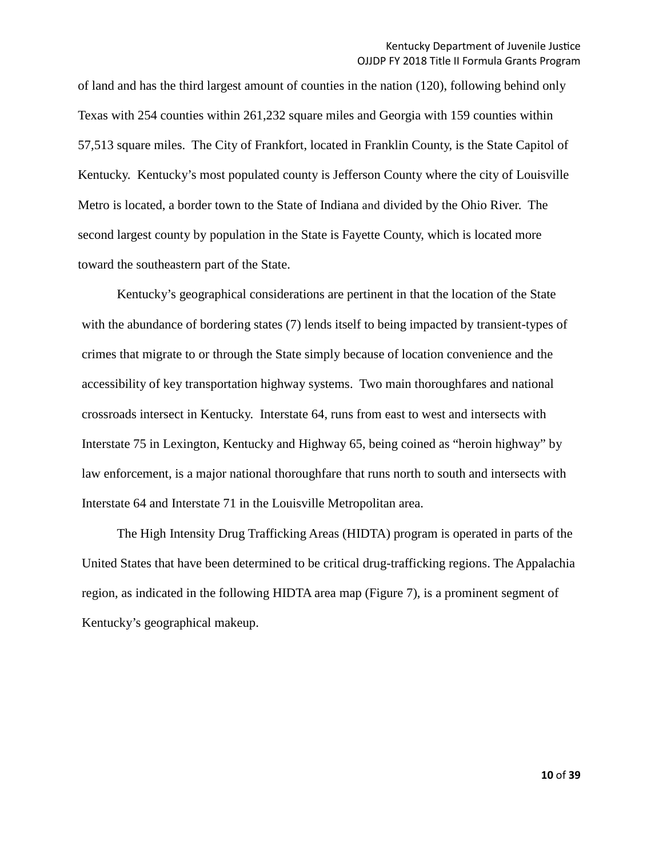Kentucky. Kentucky's most populated county is Jefferson County where the city of Louisville Metro is located, a border town to the State of Indiana and divided by the Ohio River. The of land and has the third largest amount of counties in the nation (120), following behind only Texas with 254 counties within 261,232 square miles and Georgia with 159 counties within 57,513 square miles. The City of Frankfort, located in Franklin County, is the State Capitol of second largest county by population in the State is Fayette County, which is located more toward the southeastern part of the State.

 crimes that migrate to or through the State simply because of location convenience and the Interstate 75 in Lexington, Kentucky and Highway 65, being coined as "heroin highway" by Kentucky's geographical considerations are pertinent in that the location of the State with the abundance of bordering states (7) lends itself to being impacted by transient-types of accessibility of key transportation highway systems. Two main thoroughfares and national crossroads intersect in Kentucky. Interstate 64, runs from east to west and intersects with law enforcement, is a major national thoroughfare that runs north to south and intersects with Interstate 64 and Interstate 71 in the Louisville Metropolitan area.

 The High Intensity Drug Trafficking Areas (HIDTA) program is operated in parts of the region, as indicated in the following HIDTA area map (Figure 7), is a prominent segment of Kentucky's geographical makeup. United States that have been determined to be critical drug-trafficking regions. The Appalachia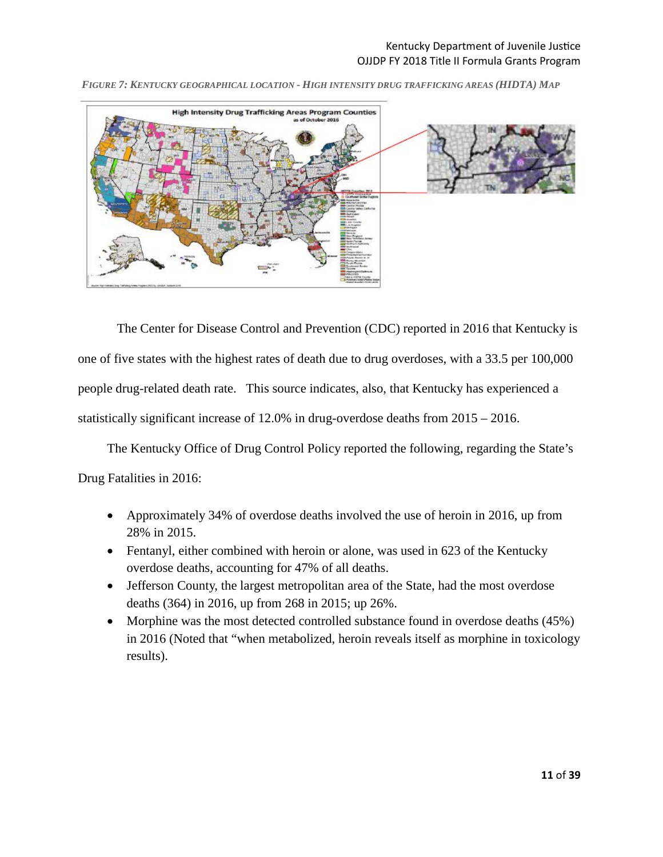

*FIGURE 7: KENTUCKY GEOGRAPHICAL LOCATION - HIGH INTENSITY DRUG TRAFFICKING AREAS (HIDTA) MAP* 

 statistically significant increase of 12.0% in drug-overdose deaths from 2015 – 2016. The Center for Disease Control and Prevention (CDC) reported in 2016 that Kentucky is one of five states with the highest rates of death due to drug overdoses, with a 33.5 per 100,000 people drug-related death rate. This source indicates, also, that Kentucky has experienced a

 The Kentucky Office of Drug Control Policy reported the following, regarding the State's Drug Fatalities in 2016:

- Approximately 34% of overdose deaths involved the use of heroin in 2016, up from 28% in 2015.
- Fentanyl, either combined with heroin or alone, was used in 623 of the Kentucky overdose deaths, accounting for 47% of all deaths.
- Jefferson County, the largest metropolitan area of the State, had the most overdose deaths (364) in 2016, up from 268 in 2015; up 26%.
- Morphine was the most detected controlled substance found in overdose deaths (45%) in 2016 (Noted that "when metabolized, heroin reveals itself as morphine in toxicology results).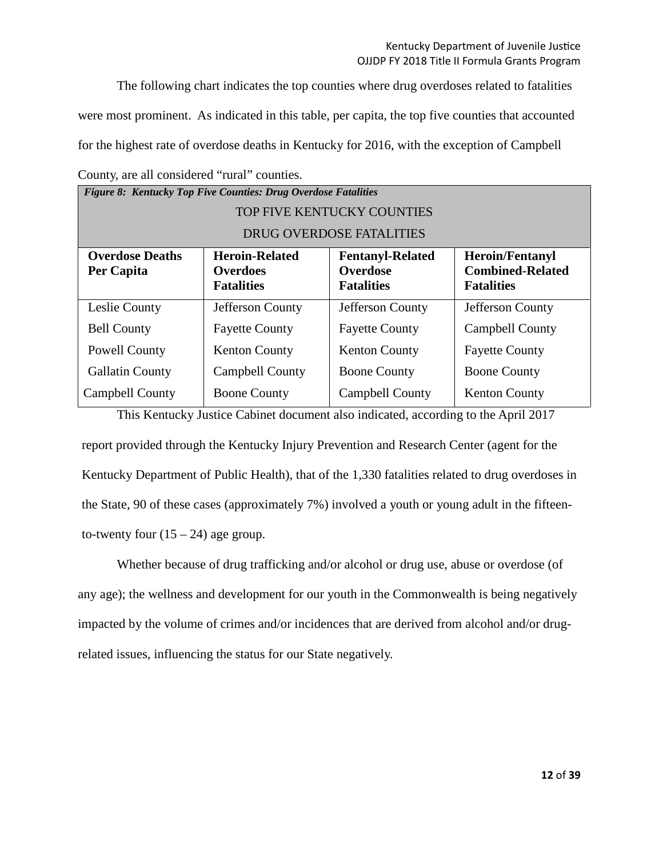The following chart indicates the top counties where drug overdoses related to fatalities

were most prominent. As indicated in this table, per capita, the top five counties that accounted

for the highest rate of overdose deaths in Kentucky for 2016, with the exception of Campbell

| County, are all considered "rural" counties. |  |  |  |  |
|----------------------------------------------|--|--|--|--|
|----------------------------------------------|--|--|--|--|

| Figure 8: Kentucky Top Five Counties: Drug Overdose Fatalities                                       |                                      |                               |                                              |  |  |
|------------------------------------------------------------------------------------------------------|--------------------------------------|-------------------------------|----------------------------------------------|--|--|
|                                                                                                      | TOP FIVE KENTUCKY COUNTIES           |                               |                                              |  |  |
|                                                                                                      | DRUG OVERDOSE FATALITIES             |                               |                                              |  |  |
| <b>Overdose Deaths</b><br><b>Heroin-Related</b><br><b>Heroin/Fentanyl</b><br><b>Fentanyl-Related</b> |                                      |                               |                                              |  |  |
| Per Capita                                                                                           | <b>Overdoes</b><br><b>Fatalities</b> | Overdose<br><b>Fatalities</b> | <b>Combined-Related</b><br><b>Fatalities</b> |  |  |
| Leslie County                                                                                        | Jefferson County                     | Jefferson County              | Jefferson County                             |  |  |
| <b>Bell County</b>                                                                                   | <b>Fayette County</b>                | <b>Fayette County</b>         | Campbell County                              |  |  |
| <b>Powell County</b>                                                                                 | <b>Kenton County</b>                 | <b>Kenton County</b>          | <b>Fayette County</b>                        |  |  |
| <b>Gallatin County</b>                                                                               | Campbell County                      | <b>Boone County</b>           | <b>Boone County</b>                          |  |  |
| Campbell County                                                                                      | <b>Boone County</b>                  | Campbell County               | <b>Kenton County</b>                         |  |  |

 the State, 90 of these cases (approximately 7%) involved a youth or young adult in the fifteento-twenty four  $(15 – 24)$  age group. This Kentucky Justice Cabinet document also indicated, according to the April 2017 report provided through the Kentucky Injury Prevention and Research Center (agent for the Kentucky Department of Public Health), that of the 1,330 fatalities related to drug overdoses in

 Whether because of drug trafficking and/or alcohol or drug use, abuse or overdose (of any age); the wellness and development for our youth in the Commonwealth is being negatively impacted by the volume of crimes and/or incidences that are derived from alcohol and/or drug-related issues, influencing the status for our State negatively.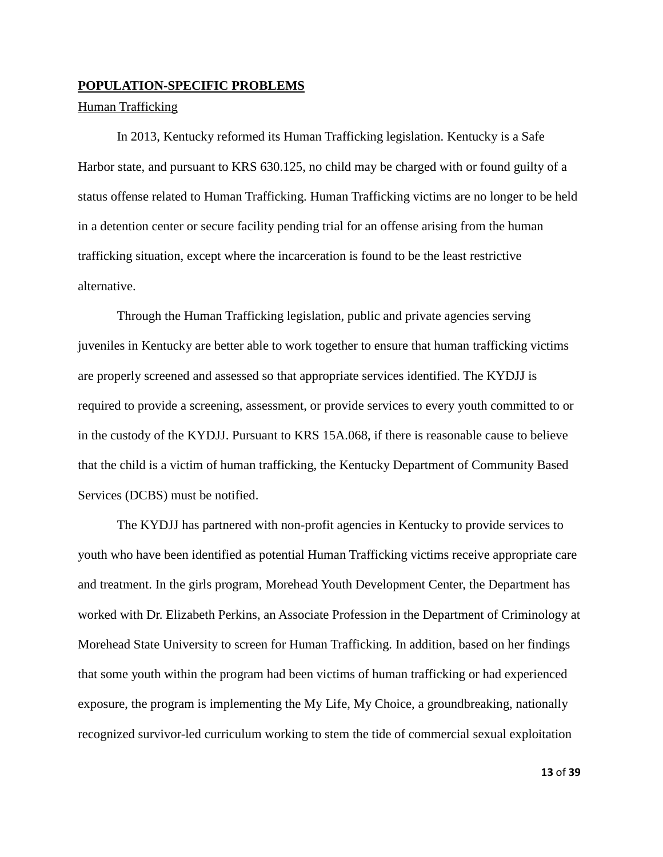# **POPULATION-SPECIFIC PROBLEMS**

#### Human Trafficking

 Harbor state, and pursuant to KRS 630.125, no child may be charged with or found guilty of a status offense related to Human Trafficking. Human Trafficking victims are no longer to be held In 2013, Kentucky reformed its Human Trafficking legislation. Kentucky is a Safe in a detention center or secure facility pending trial for an offense arising from the human trafficking situation, except where the incarceration is found to be the least restrictive alternative.

 are properly screened and assessed so that appropriate services identified. The KYDJJ is Through the Human Trafficking legislation, public and private agencies serving juveniles in Kentucky are better able to work together to ensure that human trafficking victims required to provide a screening, assessment, or provide services to every youth committed to or in the custody of the KYDJJ. Pursuant to KRS 15A.068, if there is reasonable cause to believe that the child is a victim of human trafficking, the Kentucky Department of Community Based Services (DCBS) must be notified.

The KYDJJ has partnered with non-profit agencies in Kentucky to provide services to youth who have been identified as potential Human Trafficking victims receive appropriate care and treatment. In the girls program, Morehead Youth Development Center, the Department has worked with Dr. Elizabeth Perkins, an Associate Profession in the Department of Criminology at Morehead State University to screen for Human Trafficking. In addition, based on her findings that some youth within the program had been victims of human trafficking or had experienced exposure, the program is implementing the My Life, My Choice, a groundbreaking, nationally recognized survivor-led curriculum working to stem the tide of commercial sexual exploitation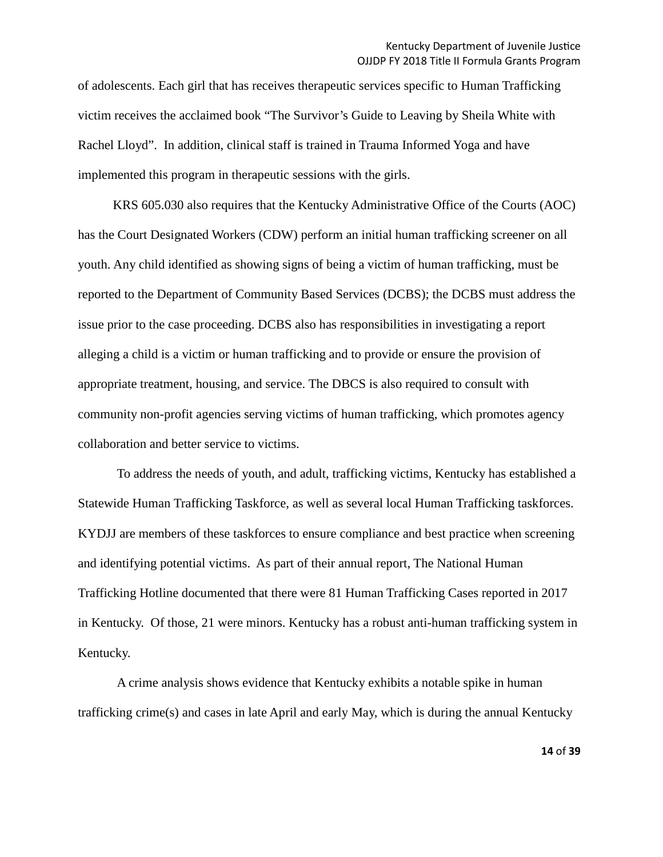of adolescents. Each girl that has receives therapeutic services specific to Human Trafficking victim receives the acclaimed book "The Survivor's Guide to Leaving by Sheila White with Rachel Lloyd". In addition, clinical staff is trained in Trauma Informed Yoga and have implemented this program in therapeutic sessions with the girls.

KRS 605.030 also requires that the Kentucky Administrative Office of the Courts (AOC) has the Court Designated Workers (CDW) perform an initial human trafficking screener on all youth. Any child identified as showing signs of being a victim of human trafficking, must be reported to the Department of Community Based Services (DCBS); the DCBS must address the issue prior to the case proceeding. DCBS also has responsibilities in investigating a report alleging a child is a victim or human trafficking and to provide or ensure the provision of appropriate treatment, housing, and service. The DBCS is also required to consult with community non-profit agencies serving victims of human trafficking, which promotes agency collaboration and better service to victims.

 Statewide Human Trafficking Taskforce, as well as several local Human Trafficking taskforces. To address the needs of youth, and adult, trafficking victims, Kentucky has established a KYDJJ are members of these taskforces to ensure compliance and best practice when screening and identifying potential victims. As part of their annual report, The National Human Trafficking Hotline documented that there were 81 Human Trafficking Cases reported in 2017 in Kentucky. Of those, 21 were minors. Kentucky has a robust anti-human trafficking system in Kentucky.

 trafficking crime(s) and cases in late April and early May, which is during the annual Kentucky A crime analysis shows evidence that Kentucky exhibits a notable spike in human

**14** of **39**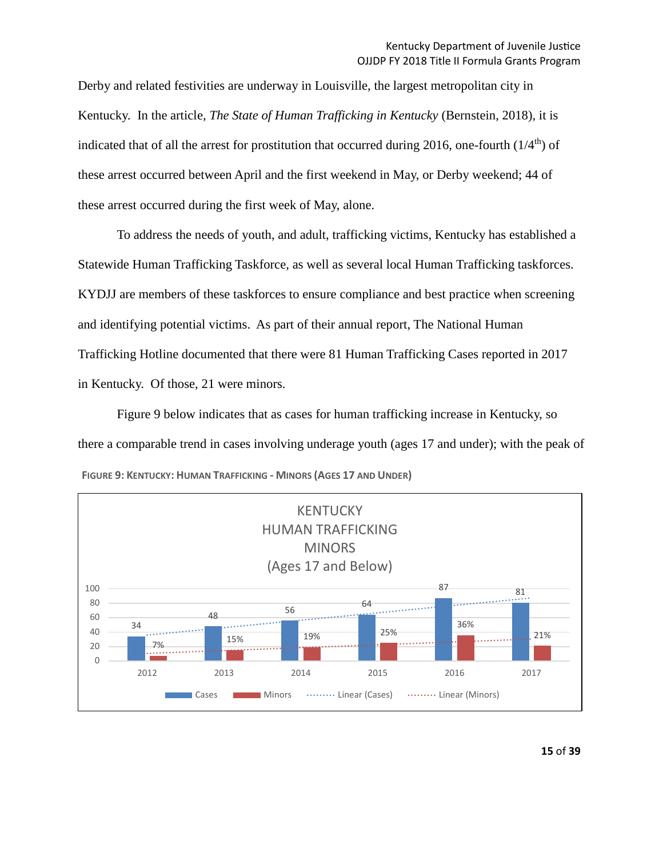Derby and related festivities are underway in Louisville, the largest metropolitan city in Kentucky. In the article, *The State of Human Trafficking in Kentucky* (Bernstein, 2018)*,* it is indicated that of all the arrest for prostitution that occurred during 2016, one-fourth  $(1/4<sup>th</sup>)$  of these arrest occurred between April and the first weekend in May, or Derby weekend; 44 of these arrest occurred during the first week of May, alone.

To address the needs of youth, and adult, trafficking victims, Kentucky has established a Statewide Human Trafficking Taskforce, as well as several local Human Trafficking taskforces. KYDJJ are members of these taskforces to ensure compliance and best practice when screening and identifying potential victims. As part of their annual report, The National Human Trafficking Hotline documented that there were 81 Human Trafficking Cases reported in 2017 in Kentucky. Of those, 21 were minors.

Figure 9 below indicates that as cases for human trafficking increase in Kentucky, so there a comparable trend in cases involving underage youth (ages 17 and under); with the peak of **FIGURE 9: KENTUCKY: HUMAN TRAFFICKING - MINORS (AGES 17 AND UNDER)** 

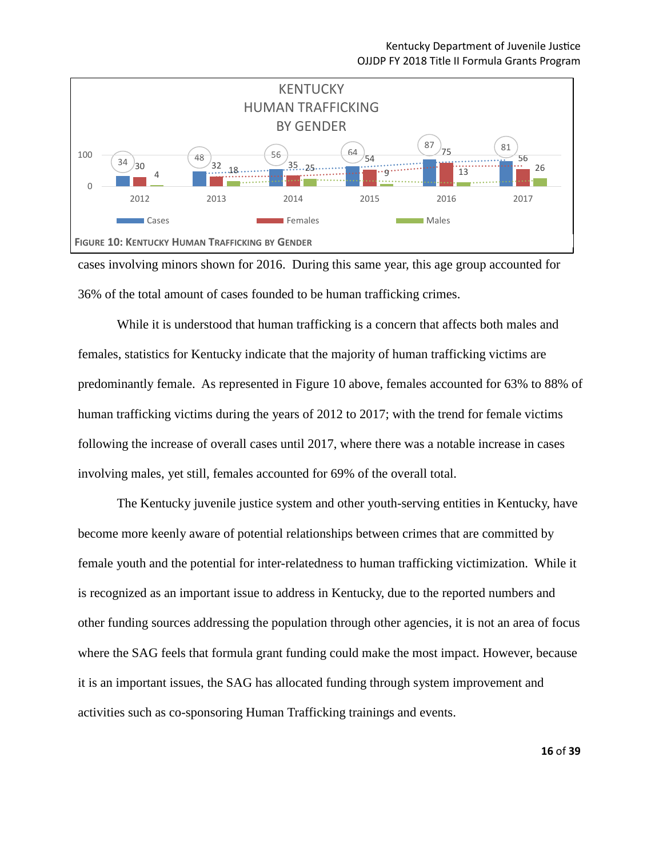

 cases involving minors shown for 2016. During this same year, this age group accounted for 36% of the total amount of cases founded to be human trafficking crimes.

 predominantly female. As represented in Figure 10 above, females accounted for 63% to 88% of While it is understood that human trafficking is a concern that affects both males and females, statistics for Kentucky indicate that the majority of human trafficking victims are human trafficking victims during the years of 2012 to 2017; with the trend for female victims following the increase of overall cases until 2017, where there was a notable increase in cases involving males, yet still, females accounted for 69% of the overall total.

 The Kentucky juvenile justice system and other youth-serving entities in Kentucky, have it is an important issues, the SAG has allocated funding through system improvement and become more keenly aware of potential relationships between crimes that are committed by female youth and the potential for inter-relatedness to human trafficking victimization. While it is recognized as an important issue to address in Kentucky, due to the reported numbers and other funding sources addressing the population through other agencies, it is not an area of focus where the SAG feels that formula grant funding could make the most impact. However, because activities such as co-sponsoring Human Trafficking trainings and events.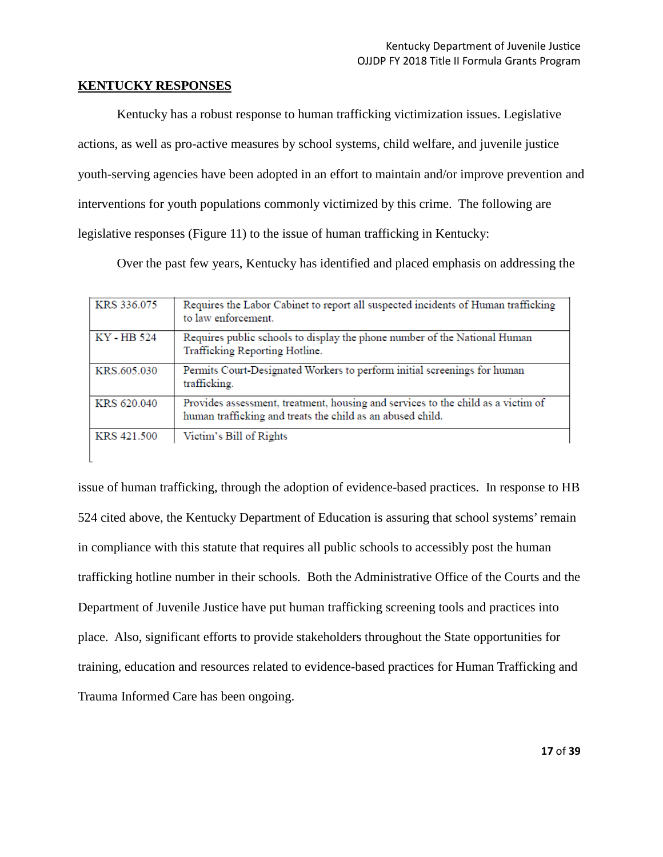#### **KENTUCKY RESPONSES**

Kentucky has a robust response to human trafficking victimization issues. Legislative actions, as well as pro-active measures by school systems, child welfare, and juvenile justice youth-serving agencies have been adopted in an effort to maintain and/or improve prevention and interventions for youth populations commonly victimized by this crime. The following are legislative responses (Figure 11) to the issue of human trafficking in Kentucky:

ive responses (Figure 11) to the issue of human trafficking in Kentucky:<br>Over the past few years, Kentucky has identified and placed emphasis on addressing the

| KRS 336.075 | Requires the Labor Cabinet to report all suspected incidents of Human trafficking<br>to law enforcement.                                       |
|-------------|------------------------------------------------------------------------------------------------------------------------------------------------|
| KY - HB 524 | Requires public schools to display the phone number of the National Human<br>Trafficking Reporting Hotline.                                    |
| KRS.605.030 | Permits Court-Designated Workers to perform initial screenings for human<br>trafficking.                                                       |
| KRS 620.040 | Provides assessment, treatment, housing and services to the child as a victim of<br>human trafficking and treats the child as an abused child. |
| KRS 421.500 | Victim's Bill of Rights                                                                                                                        |

issue of human trafficking, through the adoption of evidence-based practices. In response to HB 524 cited above, the Kentucky Department of Education is assuring that school systems' remain in compliance with this statute that requires all public schools to accessibly post the human trafficking hotline number in their schools. Both the Administrative Office of the Courts and the Department of Juvenile Justice have put human trafficking screening tools and practices into place. Also, significant efforts to provide stakeholders throughout the State opportunities for training, education and resources related to evidence-based practices for Human Trafficking and Trauma Informed Care has been ongoing.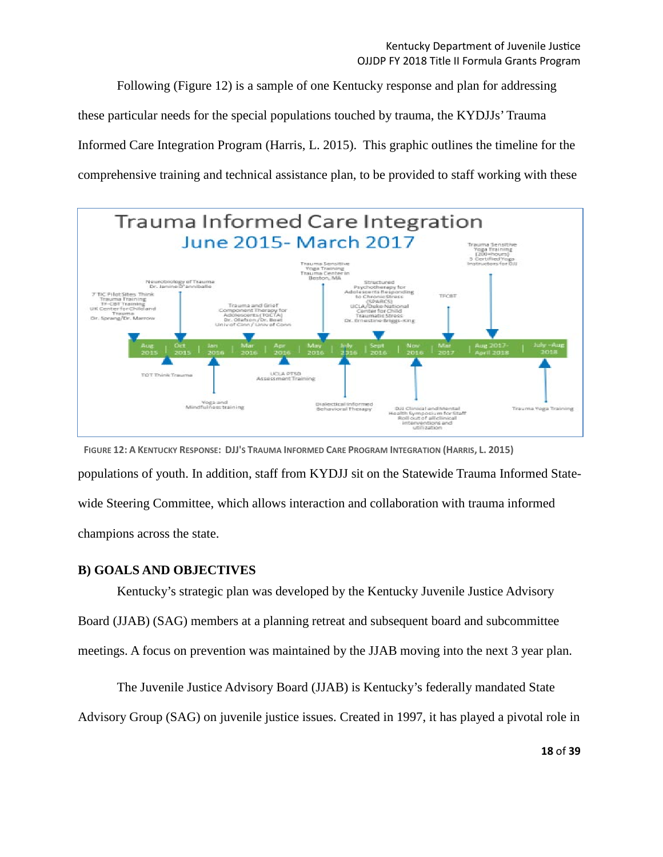Following (Figure 12) is a sample of one Kentucky response and plan for addressing these particular needs for the special populations touched by trauma, the KYDJJs' Trauma Informed Care Integration Program (Harris, L. 2015). This graphic outlines the timeline for the comprehensive training and technical assistance plan, to be provided to staff working with these



 populations of youth. In addition, staff from KYDJJ sit on the Statewide Trauma Informed State- **FIGURE 12: A KENTUCKY RESPONSE: DJJ'S TRAUMA INFORMED CARE PROGRAM INTEGRATION (HARRIS, L. 2015)**  wide Steering Committee, which allows interaction and collaboration with trauma informed champions across the state.

# **B) GOALS AND OBJECTIVES**

 Kentucky's strategic plan was developed by the Kentucky Juvenile Justice Advisory Board (JJAB) (SAG) members at a planning retreat and subsequent board and subcommittee meetings. A focus on prevention was maintained by the JJAB moving into the next 3 year plan.

 The Juvenile Justice Advisory Board (JJAB) is Kentucky's federally mandated State Advisory Group (SAG) on juvenile justice issues. Created in 1997, it has played a pivotal role in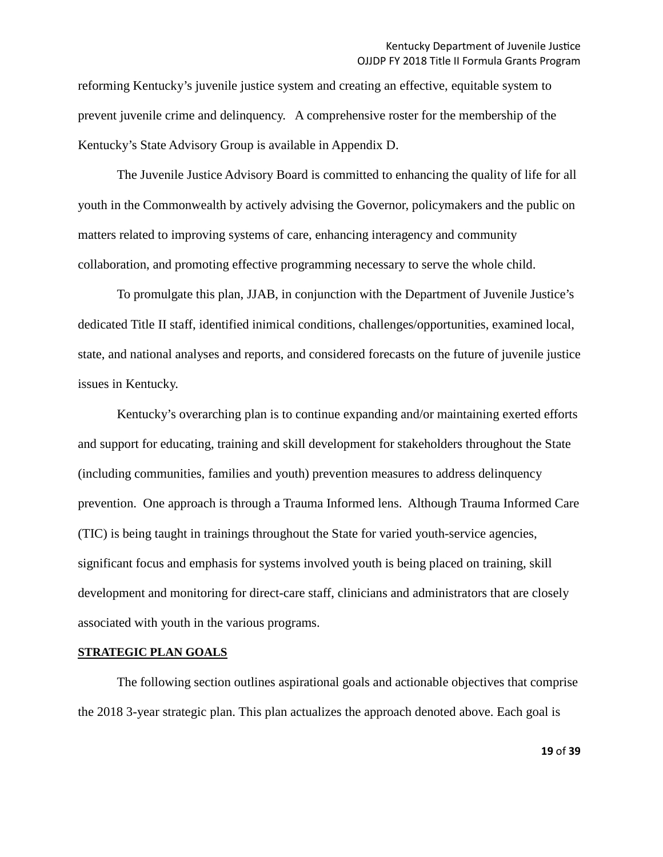reforming Kentucky's juvenile justice system and creating an effective, equitable system to prevent juvenile crime and delinquency. A comprehensive roster for the membership of the Kentucky's State Advisory Group is available in Appendix D.

 The Juvenile Justice Advisory Board is committed to enhancing the quality of life for all youth in the Commonwealth by actively advising the Governor, policymakers and the public on matters related to improving systems of care, enhancing interagency and community collaboration, and promoting effective programming necessary to serve the whole child.

 dedicated Title II staff, identified inimical conditions, challenges/opportunities, examined local, To promulgate this plan, JJAB, in conjunction with the Department of Juvenile Justice's state, and national analyses and reports, and considered forecasts on the future of juvenile justice issues in Kentucky.

 Kentucky's overarching plan is to continue expanding and/or maintaining exerted efforts (including communities, families and youth) prevention measures to address delinquency associated with youth in the various programs. and support for educating, training and skill development for stakeholders throughout the State prevention. One approach is through a Trauma Informed lens. Although Trauma Informed Care (TIC) is being taught in trainings throughout the State for varied youth-service agencies, significant focus and emphasis for systems involved youth is being placed on training, skill development and monitoring for direct-care staff, clinicians and administrators that are closely

#### **STRATEGIC PLAN GOALS**

The following section outlines aspirational goals and actionable objectives that comprise the 2018 3-year strategic plan. This plan actualizes the approach denoted above. Each goal is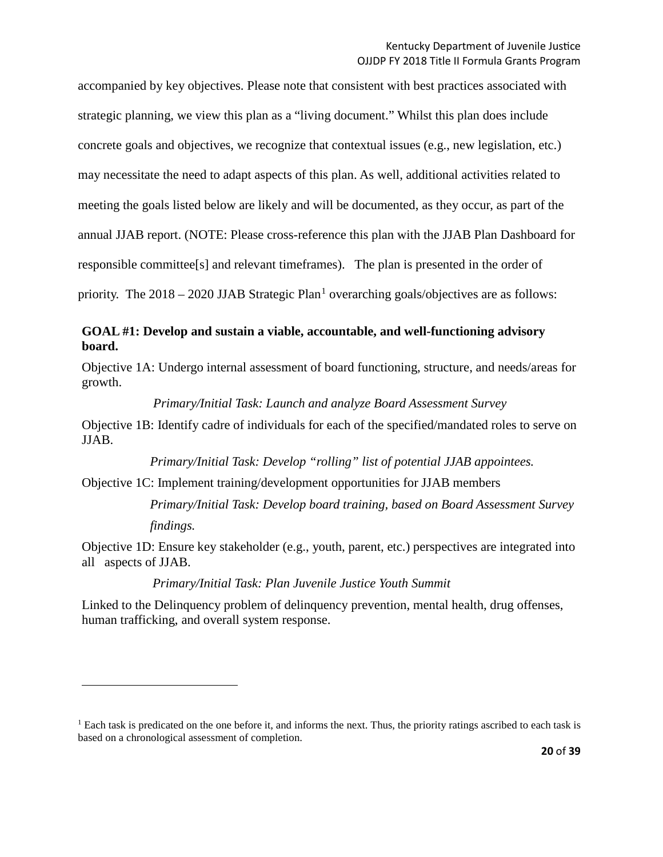strategic planning, we view this plan as a "living document." Whilst this plan does include responsible committee[s] and relevant timeframes). The plan is presented in the order of priority. The  $2018 - 2020$  $2018 - 2020$  $2018 - 2020$  JJAB Strategic Plan<sup>1</sup> overarching goals/objectives are as follows: accompanied by key objectives. Please note that consistent with best practices associated with concrete goals and objectives, we recognize that contextual issues (e.g., new legislation, etc.) may necessitate the need to adapt aspects of this plan. As well, additional activities related to meeting the goals listed below are likely and will be documented, as they occur, as part of the annual JJAB report. (NOTE: Please cross-reference this plan with the JJAB Plan Dashboard for

# **GOAL #1: Develop and sustain a viable, accountable, and well-functioning advisory board.**

Objective 1A: Undergo internal assessment of board functioning, structure, and needs/areas for growth.

# *Primary/Initial Task: Launch and analyze Board Assessment Survey*

Objective 1B: Identify cadre of individuals for each of the specified/mandated roles to serve on JJAB.

*Primary/Initial Task: Develop "rolling" list of potential JJAB appointees.* 

Objective 1C: Implement training/development opportunities for JJAB members

*Primary/Initial Task: Develop board training, based on Board Assessment Survey findings.* 

Objective 1D: Ensure key stakeholder (e.g., youth, parent, etc.) perspectives are integrated into all aspects of JJAB.

*Primary/Initial Task: Plan Juvenile Justice Youth Summit* 

 $\overline{a}$ 

 Linked to the Delinquency problem of delinquency prevention, mental health, drug offenses, human trafficking, and overall system response.

<span id="page-20-0"></span> $<sup>1</sup>$  Each task is predicated on the one before it, and informs the next. Thus, the priority ratings ascribed to each task is</sup> based on a chronological assessment of completion.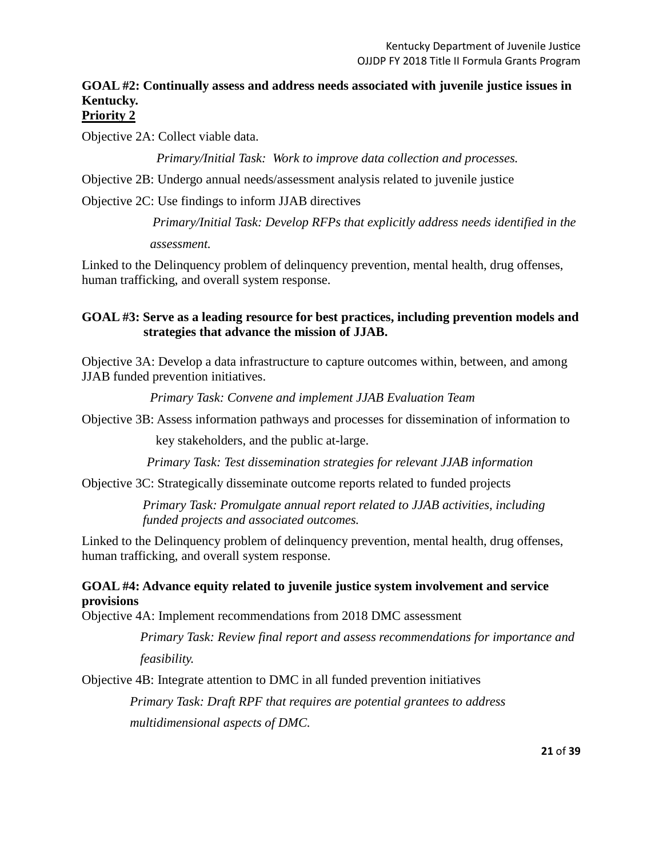# **Kentucky. GOAL #2: Continually assess and address needs associated with juvenile justice issues in Priority 2**

Objective 2A: Collect viable data.

*Primary/Initial Task: Work to improve data collection and processes.* 

Objective 2B: Undergo annual needs/assessment analysis related to juvenile justice

Objective 2C: Use findings to inform JJAB directives

*Primary/Initial Task: Develop RFPs that explicitly address needs identified in the assessment.* 

 Linked to the Delinquency problem of delinquency prevention, mental health, drug offenses, human trafficking, and overall system response.

# **GOAL #3: Serve as a leading resource for best practices, including prevention models and strategies that advance the mission of JJAB.**

Objective 3A: Develop a data infrastructure to capture outcomes within, between, and among JJAB funded prevention initiatives.

*Primary Task: Convene and implement JJAB Evaluation Team* 

Objective 3B: Assess information pathways and processes for dissemination of information to

key stakeholders, and the public at-large.

*Primary Task: Test dissemination strategies for relevant JJAB information* 

Objective 3C: Strategically disseminate outcome reports related to funded projects

*Primary Task: Promulgate annual report related to JJAB activities, including funded projects and associated outcomes.* 

 Linked to the Delinquency problem of delinquency prevention, mental health, drug offenses, human trafficking, and overall system response.

# **provisions GOAL #4: Advance equity related to juvenile justice system involvement and service**

Objective 4A: Implement recommendations from 2018 DMC assessment

*Primary Task: Review final report and assess recommendations for importance and feasibility.* 

Objective 4B: Integrate attention to DMC in all funded prevention initiatives

*Primary Task: Draft RPF that requires are potential grantees to address multidimensional aspects of DMC.*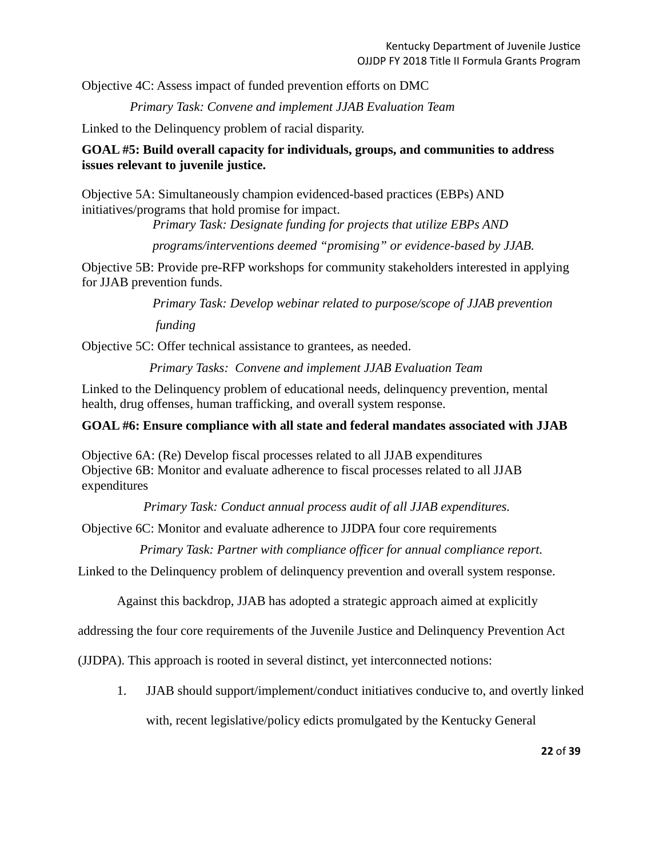Objective 4C: Assess impact of funded prevention efforts on DMC

*Primary Task: Convene and implement JJAB Evaluation Team* 

Linked to the Delinquency problem of racial disparity.

# **issues relevant to juvenile justice. GOAL #5: Build overall capacity for individuals, groups, and communities to address**

 Objective 5A: Simultaneously champion evidenced-based practices (EBPs) AND initiatives/programs that hold promise for impact.

*Primary Task: Designate funding for projects that utilize EBPs AND* 

*programs/interventions deemed "promising" or evidence-based by JJAB.* 

Objective 5B: Provide pre-RFP workshops for community stakeholders interested in applying for JJAB prevention funds.

*Primary Task: Develop webinar related to purpose/scope of JJAB prevention* 

*funding* 

Objective 5C: Offer technical assistance to grantees, as needed.

*Primary Tasks: Convene and implement JJAB Evaluation Team* 

Linked to the Delinquency problem of educational needs, delinquency prevention, mental health, drug offenses, human trafficking, and overall system response.

# **GOAL #6: Ensure compliance with all state and federal mandates associated with JJAB**

 expenditures Objective 6A: (Re) Develop fiscal processes related to all JJAB expenditures Objective 6B: Monitor and evaluate adherence to fiscal processes related to all JJAB

*Primary Task: Conduct annual process audit of all JJAB expenditures.* 

Objective 6C: Monitor and evaluate adherence to JJDPA four core requirements

*Primary Task: Partner with compliance officer for annual compliance report.* 

Linked to the Delinquency problem of delinquency prevention and overall system response.

Against this backdrop, JJAB has adopted a strategic approach aimed at explicitly

addressing the four core requirements of the Juvenile Justice and Delinquency Prevention Act

(JJDPA). This approach is rooted in several distinct, yet interconnected notions:

1. JJAB should support/implement/conduct initiatives conducive to, and overtly linked

with, recent legislative/policy edicts promulgated by the Kentucky General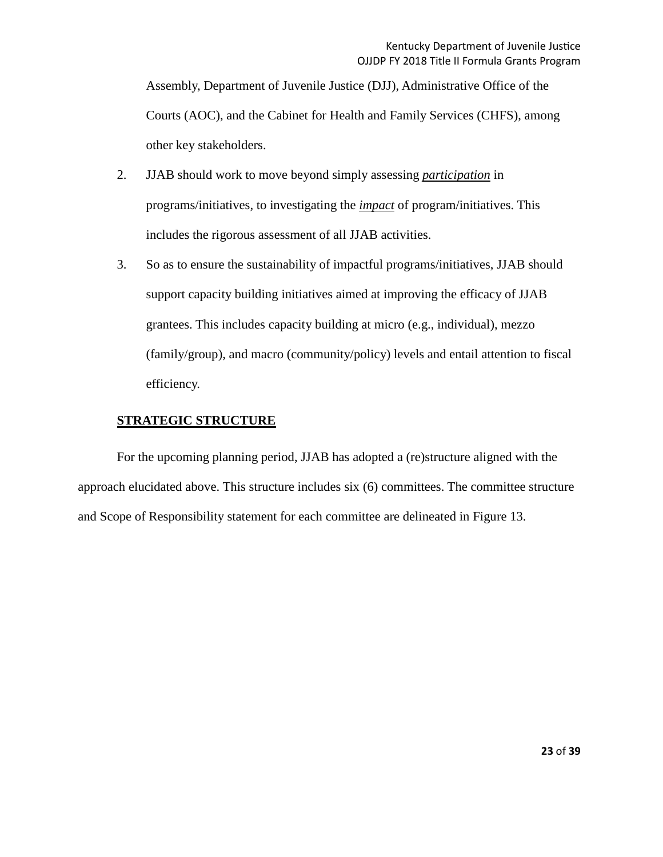Assembly, Department of Juvenile Justice (DJJ), Administrative Office of the Courts (AOC), and the Cabinet for Health and Family Services (CHFS), among other key stakeholders.

- 2. JJAB should work to move beyond simply assessing *participation* in programs/initiatives, to investigating the *impact* of program/initiatives. This includes the rigorous assessment of all JJAB activities.
- efficiency. 3. So as to ensure the sustainability of impactful programs/initiatives, JJAB should support capacity building initiatives aimed at improving the efficacy of JJAB grantees. This includes capacity building at micro (e.g., individual), mezzo (family/group), and macro (community/policy) levels and entail attention to fiscal

# **STRATEGIC STRUCTURE**

 and Scope of Responsibility statement for each committee are delineated in Figure 13. For the upcoming planning period, JJAB has adopted a (re)structure aligned with the approach elucidated above. This structure includes six (6) committees. The committee structure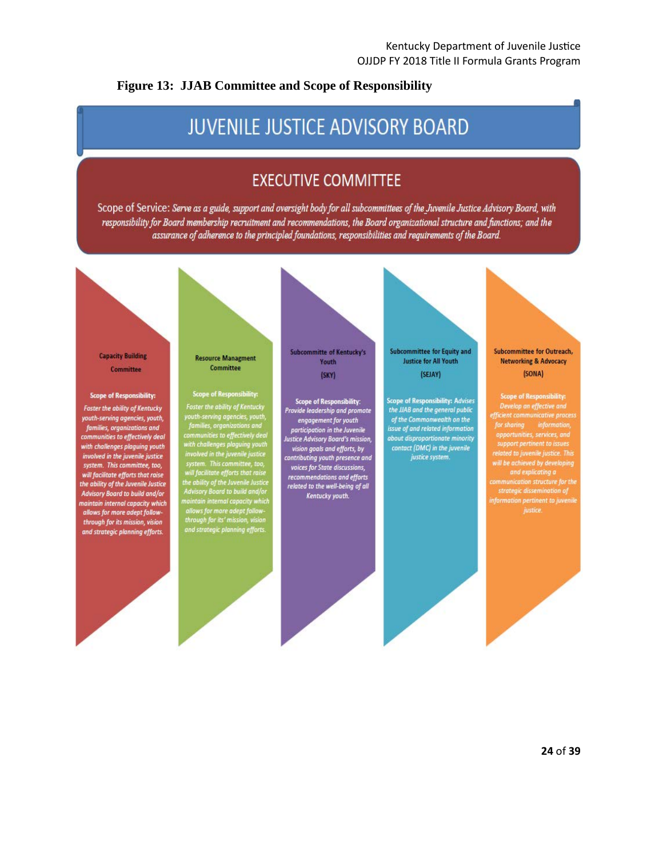#### **Figure 13: JJAB Committee and Scope of Responsibility**

# JUVENILE JUSTICE ADVISORY BOARD

# **EXECUTIVE COMMITTEE**

Scope of Service: Serve as a guide, support and oversight body for all subcommittees of the Juvenile Justice Advisory Board, with responsibility for Board membership recruitment and recommendations, the Board organizational structure and functions; and the assurance of adherence to the principled foundations, responsibilities and requirements of the Board.



#### **Scope of Responsibility:**

**Foster the ability of Kentucky** youth-serving agencies, youth, families, organizations and communities to effectively deal with challenges plaguing youth involved in the juvenile justice system. This committee, too, will facilitate efforts that raise<br>the ability of the Juvenile Justice Advisory Board to build and/or maintain internal capacity which<br>allows for more adept followthrough for its mission, vision and strategic planning efforts.

#### **Resource Managment Committee**

# **Scope of Responsibility:**

youth-serving agencies, youth,<br>families, organizations and<br>communities to effectively deal<br>with challenges plaguing youth communities to effectively deal<br>with challenges plaguing youth<br>involved in the juvenile justice<br>system. This committee, too,<br>will facilitate efforts that raise<br>the ability of the Juvenile Justice<br>Advisory Board to build an

#### Subcommitte of Kentucky's Youth  $(SKY)$

Scope of Responsibility:<br>Provide leadership and promote engagement for youth participation in the Juvenile<br>Justice Advisory Board's mission vision goals and efforts, by contributing youth presence and voices for State discussions, recommendations and efforts<br>related to the well-being of all Kentucky youth.

**Subcommittee for Equity and Justice for All Youth** (SEJAY)

Scope of Responsibility: Advises<br>the JJAB and the general public of the Commonwealth on the issue of and related information about disproportionate minority<br>contact (DMC) in the juvenile justice system.

#### **Subcommittee for Outreach, Networking & Advocacy** (SONA)

**Scope of Responsibility:** Develop an effective and<br>efficient communicative process<br>for sharing information,<br>apportunities, services, and<br>support pertinent to issues will be achieved by developing<br>and explicating a strategic dissemination o *formation pertinent to juvenil*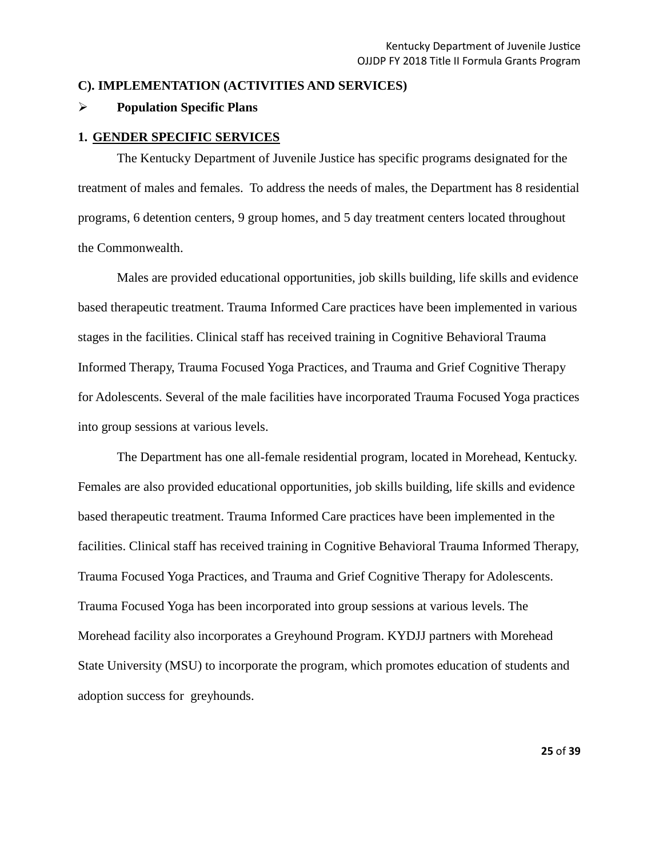#### **C). IMPLEMENTATION (ACTIVITIES AND SERVICES)**

#### **Population Specific Plans**

#### **1. GENDER SPECIFIC SERVICES**

 treatment of males and females. To address the needs of males, the Department has 8 residential The Kentucky Department of Juvenile Justice has specific programs designated for the programs, 6 detention centers, 9 group homes, and 5 day treatment centers located throughout the Commonwealth.

 Informed Therapy, Trauma Focused Yoga Practices, and Trauma and Grief Cognitive Therapy Males are provided educational opportunities, job skills building, life skills and evidence based therapeutic treatment. Trauma Informed Care practices have been implemented in various stages in the facilities. Clinical staff has received training in Cognitive Behavioral Trauma for Adolescents. Several of the male facilities have incorporated Trauma Focused Yoga practices into group sessions at various levels.

 facilities. Clinical staff has received training in Cognitive Behavioral Trauma Informed Therapy, Trauma Focused Yoga Practices, and Trauma and Grief Cognitive Therapy for Adolescents. adoption success for greyhounds. The Department has one all-female residential program, located in Morehead, Kentucky. Females are also provided educational opportunities, job skills building, life skills and evidence based therapeutic treatment. Trauma Informed Care practices have been implemented in the Trauma Focused Yoga has been incorporated into group sessions at various levels. The Morehead facility also incorporates a Greyhound Program. KYDJJ partners with Morehead State University (MSU) to incorporate the program, which promotes education of students and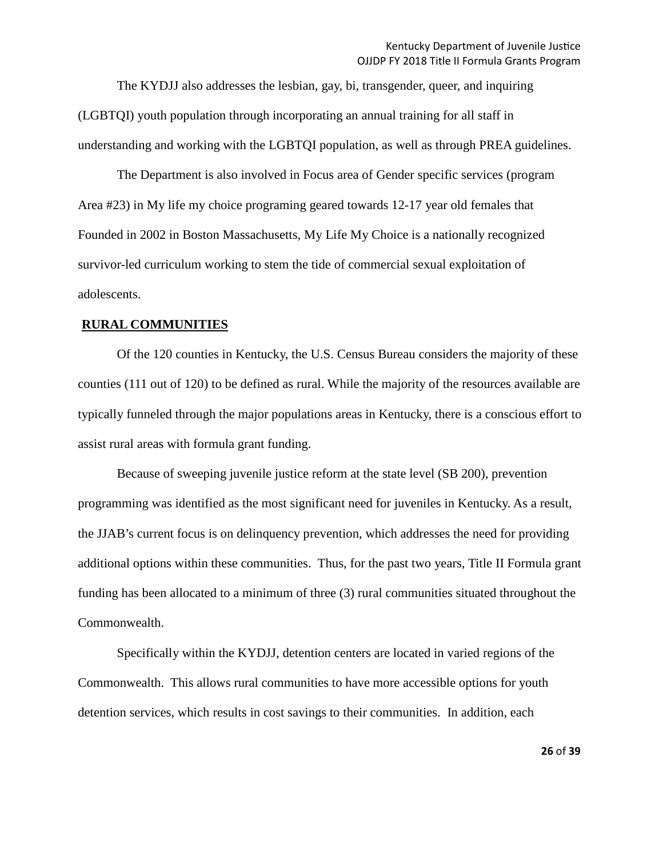The KYDJJ also addresses the lesbian, gay, bi, transgender, queer, and inquiring (LGBTQI) youth population through incorporating an annual training for all staff in understanding and working with the LGBTQI population, as well as through PREA guidelines.

 The Department is also involved in Focus area of Gender specific services (program Area #23) in My life my choice programing geared towards 12-17 year old females that Founded in 2002 in Boston Massachusetts, My Life My Choice is a nationally recognized survivor-led curriculum working to stem the tide of commercial sexual exploitation of adolescents.

#### **RURAL COMMUNITIES**

Of the 120 counties in Kentucky, the U.S. Census Bureau considers the majority of these counties (111 out of 120) to be defined as rural. While the majority of the resources available are typically funneled through the major populations areas in Kentucky, there is a conscious effort to assist rural areas with formula grant funding.

 additional options within these communities. Thus, for the past two years, Title II Formula grant Because of sweeping juvenile justice reform at the state level (SB 200), prevention programming was identified as the most significant need for juveniles in Kentucky. As a result, the JJAB's current focus is on delinquency prevention, which addresses the need for providing funding has been allocated to a minimum of three (3) rural communities situated throughout the Commonwealth.

 Commonwealth. This allows rural communities to have more accessible options for youth Specifically within the KYDJJ, detention centers are located in varied regions of the detention services, which results in cost savings to their communities. In addition, each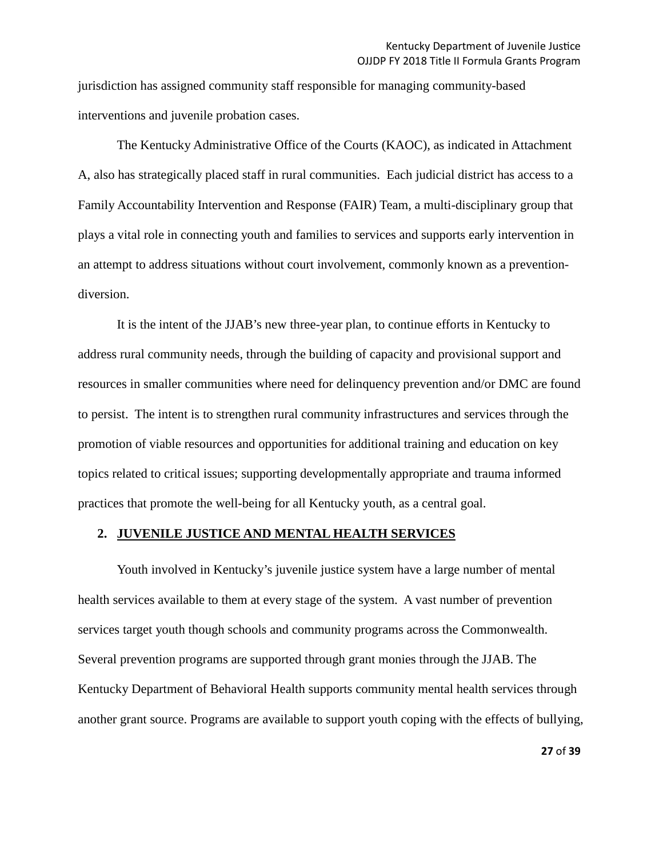jurisdiction has assigned community staff responsible for managing community-based interventions and juvenile probation cases.

 Family Accountability Intervention and Response (FAIR) Team, a multi-disciplinary group that The Kentucky Administrative Office of the Courts (KAOC), as indicated in Attachment A, also has strategically placed staff in rural communities. Each judicial district has access to a plays a vital role in connecting youth and families to services and supports early intervention in an attempt to address situations without court involvement, commonly known as a preventiondiversion.

 It is the intent of the JJAB's new three-year plan, to continue efforts in Kentucky to address rural community needs, through the building of capacity and provisional support and practices that promote the well-being for all Kentucky youth, as a central goal. resources in smaller communities where need for delinquency prevention and/or DMC are found to persist. The intent is to strengthen rural community infrastructures and services through the promotion of viable resources and opportunities for additional training and education on key topics related to critical issues; supporting developmentally appropriate and trauma informed

#### **2. JUVENILE JUSTICE AND MENTAL HEALTH SERVICES**

 Youth involved in Kentucky's juvenile justice system have a large number of mental health services available to them at every stage of the system. A vast number of prevention services target youth though schools and community programs across the Commonwealth. Several prevention programs are supported through grant monies through the JJAB. The Kentucky Department of Behavioral Health supports community mental health services through another grant source. Programs are available to support youth coping with the effects of bullying,

**27** of **39**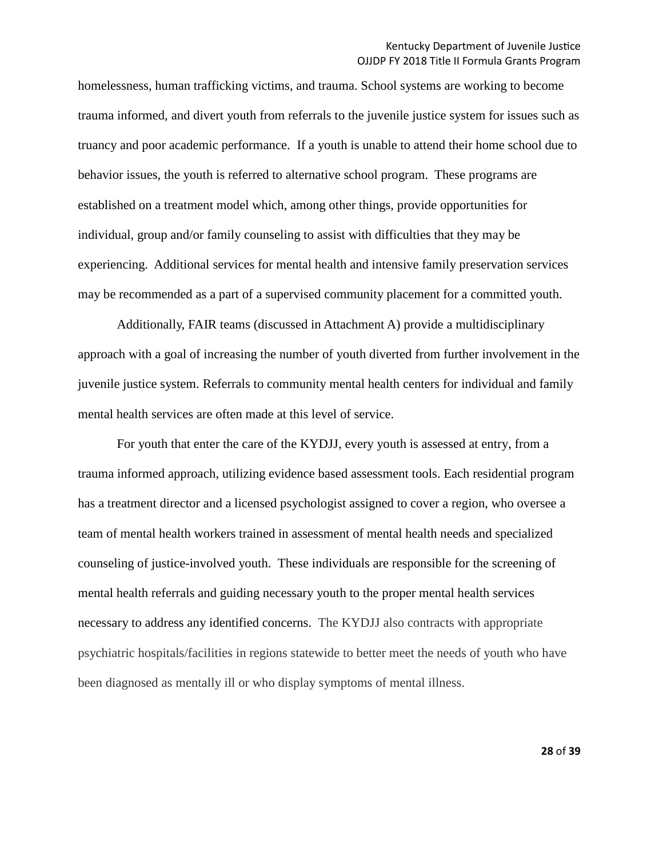trauma informed, and divert youth from referrals to the juvenile justice system for issues such as may be recommended as a part of a supervised community placement for a committed youth. homelessness, human trafficking victims, and trauma. School systems are working to become truancy and poor academic performance. If a youth is unable to attend their home school due to behavior issues, the youth is referred to alternative school program. These programs are established on a treatment model which, among other things, provide opportunities for individual, group and/or family counseling to assist with difficulties that they may be experiencing. Additional services for mental health and intensive family preservation services

 Additionally, FAIR teams (discussed in Attachment A) provide a multidisciplinary approach with a goal of increasing the number of youth diverted from further involvement in the juvenile justice system. Referrals to community mental health centers for individual and family mental health services are often made at this level of service.

 For youth that enter the care of the KYDJJ, every youth is assessed at entry, from a has a treatment director and a licensed psychologist assigned to cover a region, who oversee a psychiatric hospitals/facilities in regions statewide to better meet the needs of youth who have trauma informed approach, utilizing evidence based assessment tools. Each residential program team of mental health workers trained in assessment of mental health needs and specialized counseling of justice-involved youth. These individuals are responsible for the screening of mental health referrals and guiding necessary youth to the proper mental health services necessary to address any identified concerns. The KYDJJ also contracts with appropriate been diagnosed as mentally ill or who display symptoms of mental illness.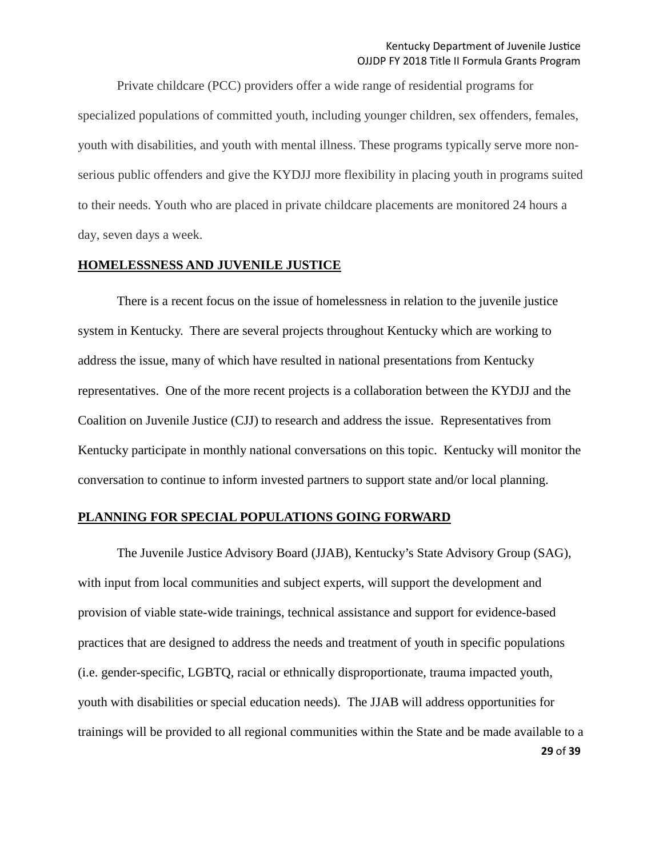to their needs. Youth who are placed in private childcare placements are monitored 24 hours a day, seven days a week. Private childcare (PCC) providers offer a wide range of residential programs for specialized populations of committed youth, including younger children, sex offenders, females, youth with disabilities, and youth with mental illness. These programs typically serve more nonserious public offenders and give the KYDJJ more flexibility in placing youth in programs suited

#### **HOMELESSNESS AND JUVENILE JUSTICE**

 Coalition on Juvenile Justice (CJJ) to research and address the issue. Representatives from conversation to continue to inform invested partners to support state and/or local planning. There is a recent focus on the issue of homelessness in relation to the juvenile justice system in Kentucky. There are several projects throughout Kentucky which are working to address the issue, many of which have resulted in national presentations from Kentucky representatives. One of the more recent projects is a collaboration between the KYDJJ and the Kentucky participate in monthly national conversations on this topic. Kentucky will monitor the

#### **PLANNING FOR SPECIAL POPULATIONS GOING FORWARD**

 **29** of **39**  The Juvenile Justice Advisory Board (JJAB), Kentucky's State Advisory Group (SAG), youth with disabilities or special education needs). The JJAB will address opportunities for with input from local communities and subject experts, will support the development and provision of viable state-wide trainings, technical assistance and support for evidence-based practices that are designed to address the needs and treatment of youth in specific populations (i.e. gender-specific, LGBTQ, racial or ethnically disproportionate, trauma impacted youth, trainings will be provided to all regional communities within the State and be made available to a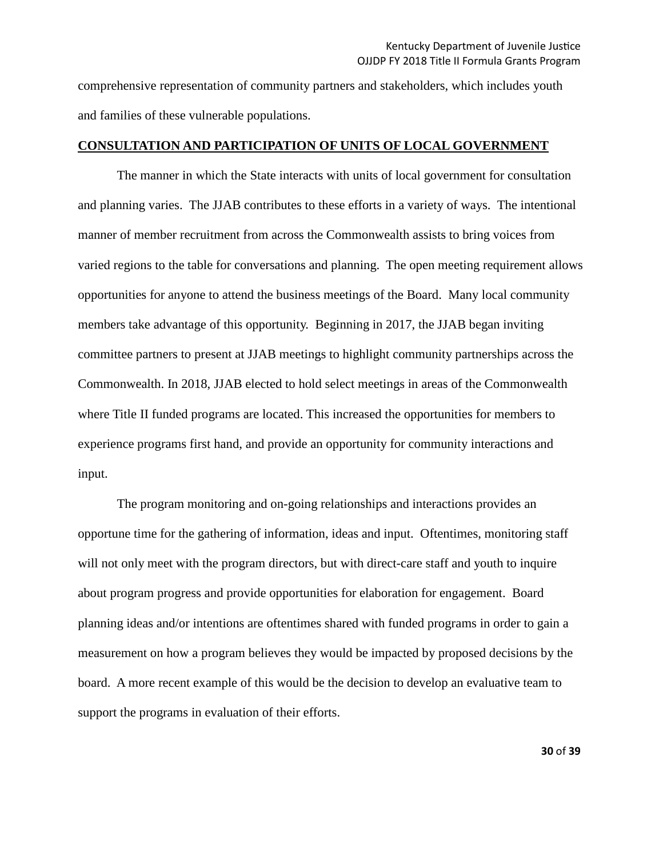and families of these vulnerable populations. comprehensive representation of community partners and stakeholders, which includes youth

# **CONSULTATION AND PARTICIPATION OF UNITS OF LOCAL GOVERNMENT**

 The manner in which the State interacts with units of local government for consultation manner of member recruitment from across the Commonwealth assists to bring voices from opportunities for anyone to attend the business meetings of the Board. Many local community where Title II funded programs are located. This increased the opportunities for members to experience programs first hand, and provide an opportunity for community interactions and and planning varies. The JJAB contributes to these efforts in a variety of ways. The intentional varied regions to the table for conversations and planning. The open meeting requirement allows members take advantage of this opportunity. Beginning in 2017, the JJAB began inviting committee partners to present at JJAB meetings to highlight community partnerships across the Commonwealth. In 2018, JJAB elected to hold select meetings in areas of the Commonwealth input.

 opportune time for the gathering of information, ideas and input. Oftentimes, monitoring staff The program monitoring and on-going relationships and interactions provides an will not only meet with the program directors, but with direct-care staff and youth to inquire about program progress and provide opportunities for elaboration for engagement. Board planning ideas and/or intentions are oftentimes shared with funded programs in order to gain a measurement on how a program believes they would be impacted by proposed decisions by the board. A more recent example of this would be the decision to develop an evaluative team to support the programs in evaluation of their efforts.

**30** of **39**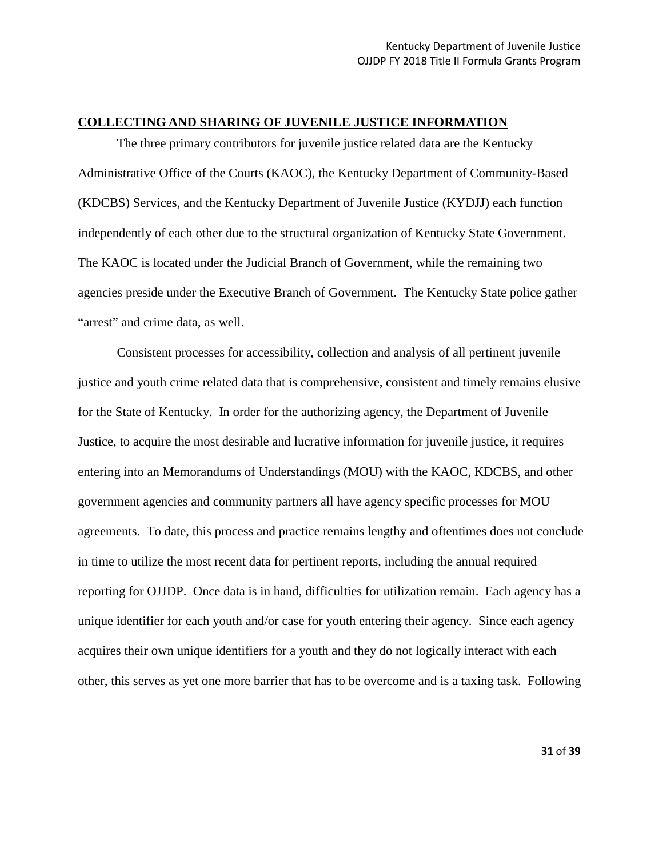#### **COLLECTING AND SHARING OF JUVENILE JUSTICE INFORMATION**

 The three primary contributors for juvenile justice related data are the Kentucky (KDCBS) Services, and the Kentucky Department of Juvenile Justice (KYDJJ) each function "arrest" and crime data, as well. Administrative Office of the Courts (KAOC), the Kentucky Department of Community-Based independently of each other due to the structural organization of Kentucky State Government. The KAOC is located under the Judicial Branch of Government, while the remaining two agencies preside under the Executive Branch of Government. The Kentucky State police gather

 justice and youth crime related data that is comprehensive, consistent and timely remains elusive for the State of Kentucky. In order for the authorizing agency, the Department of Juvenile reporting for OJJDP. Once data is in hand, difficulties for utilization remain. Each agency has a unique identifier for each youth and/or case for youth entering their agency. Since each agency acquires their own unique identifiers for a youth and they do not logically interact with each Consistent processes for accessibility, collection and analysis of all pertinent juvenile Justice, to acquire the most desirable and lucrative information for juvenile justice, it requires entering into an Memorandums of Understandings (MOU) with the KAOC, KDCBS, and other government agencies and community partners all have agency specific processes for MOU agreements. To date, this process and practice remains lengthy and oftentimes does not conclude in time to utilize the most recent data for pertinent reports, including the annual required other, this serves as yet one more barrier that has to be overcome and is a taxing task. Following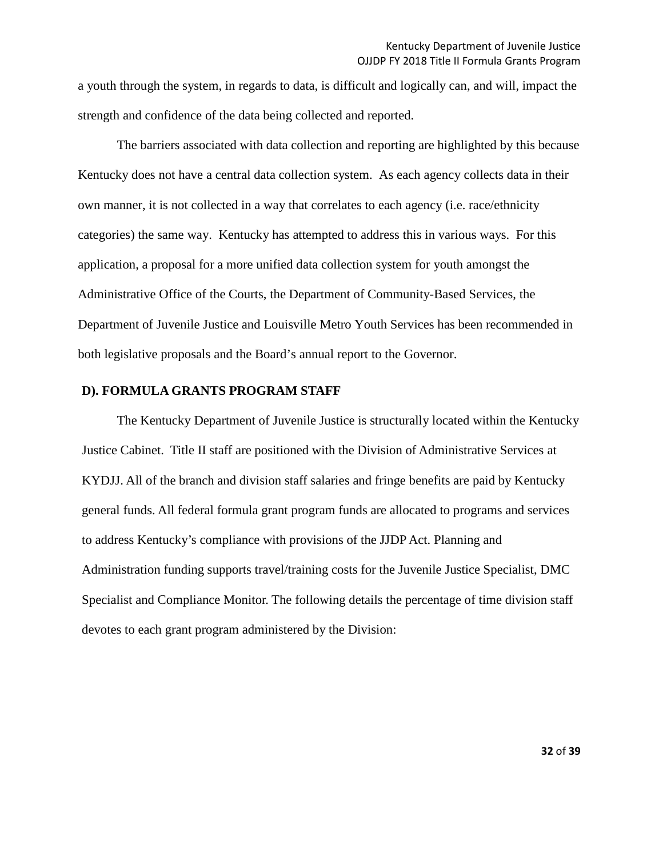a youth through the system, in regards to data, is difficult and logically can, and will, impact the strength and confidence of the data being collected and reported.

 Kentucky does not have a central data collection system. As each agency collects data in their The barriers associated with data collection and reporting are highlighted by this because own manner, it is not collected in a way that correlates to each agency (i.e. race/ethnicity categories) the same way. Kentucky has attempted to address this in various ways. For this application, a proposal for a more unified data collection system for youth amongst the Administrative Office of the Courts, the Department of Community-Based Services, the Department of Juvenile Justice and Louisville Metro Youth Services has been recommended in both legislative proposals and the Board's annual report to the Governor.

# **D). FORMULA GRANTS PROGRAM STAFF**

 The Kentucky Department of Juvenile Justice is structurally located within the Kentucky Justice Cabinet. Title II staff are positioned with the Division of Administrative Services at general funds. All federal formula grant program funds are allocated to programs and services KYDJJ. All of the branch and division staff salaries and fringe benefits are paid by Kentucky to address Kentucky's compliance with provisions of the JJDP Act. Planning and Administration funding supports travel/training costs for the Juvenile Justice Specialist, DMC Specialist and Compliance Monitor. The following details the percentage of time division staff devotes to each grant program administered by the Division: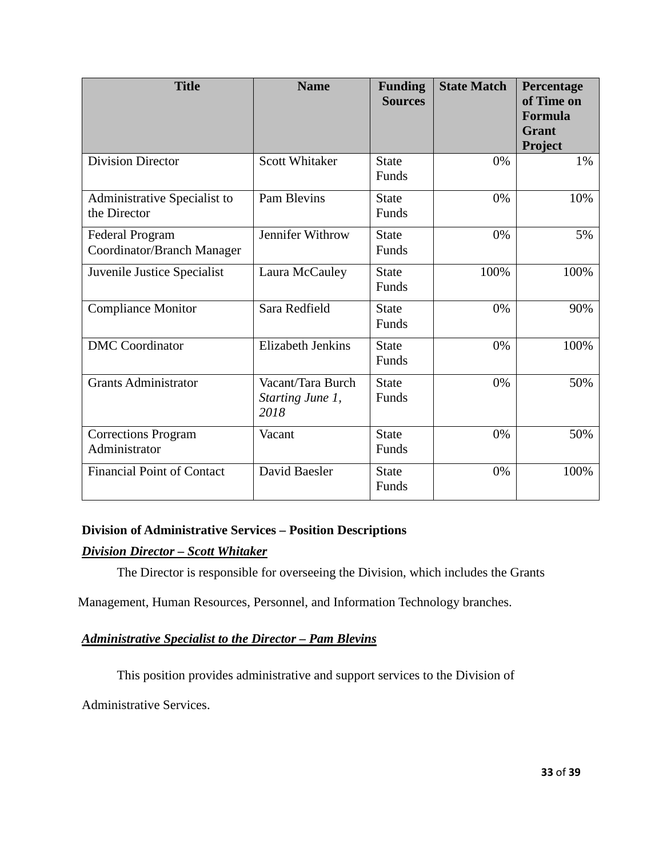| <b>Title</b>                                  | <b>Name</b>                                   | <b>Funding</b><br><b>Sources</b> | <b>State Match</b> | Percentage<br>of Time on<br>Formula<br>Grant<br><b>Project</b> |
|-----------------------------------------------|-----------------------------------------------|----------------------------------|--------------------|----------------------------------------------------------------|
| <b>Division Director</b>                      | <b>Scott Whitaker</b>                         | <b>State</b><br>Funds            | 0%                 | 1%                                                             |
| Administrative Specialist to<br>the Director  | Pam Blevins                                   | <b>State</b><br><b>Funds</b>     | 0%                 | 10%                                                            |
| Federal Program<br>Coordinator/Branch Manager | Jennifer Withrow                              | <b>State</b><br>Funds            | 0%                 | 5%                                                             |
| Juvenile Justice Specialist                   | Laura McCauley                                | <b>State</b><br>Funds            | 100%               | 100%                                                           |
| <b>Compliance Monitor</b>                     | Sara Redfield                                 | <b>State</b><br>Funds            | 0%                 | 90%                                                            |
| <b>DMC</b> Coordinator                        | <b>Elizabeth Jenkins</b>                      | <b>State</b><br>Funds            | 0%                 | 100%                                                           |
| <b>Grants Administrator</b>                   | Vacant/Tara Burch<br>Starting June 1,<br>2018 | <b>State</b><br>Funds            | 0%                 | 50%                                                            |
| <b>Corrections Program</b><br>Administrator   | Vacant                                        | <b>State</b><br>Funds            | 0%                 | 50%                                                            |
| <b>Financial Point of Contact</b>             | David Baesler                                 | <b>State</b><br>Funds            | 0%                 | 100%                                                           |

# **Division of Administrative Services – Position Descriptions**

# *Division Director – Scott Whitaker*

The Director is responsible for overseeing the Division, which includes the Grants

Management, Human Resources, Personnel, and Information Technology branches.

# *Administrative Specialist to the Director – Pam Blevins*

This position provides administrative and support services to the Division of

Administrative Services.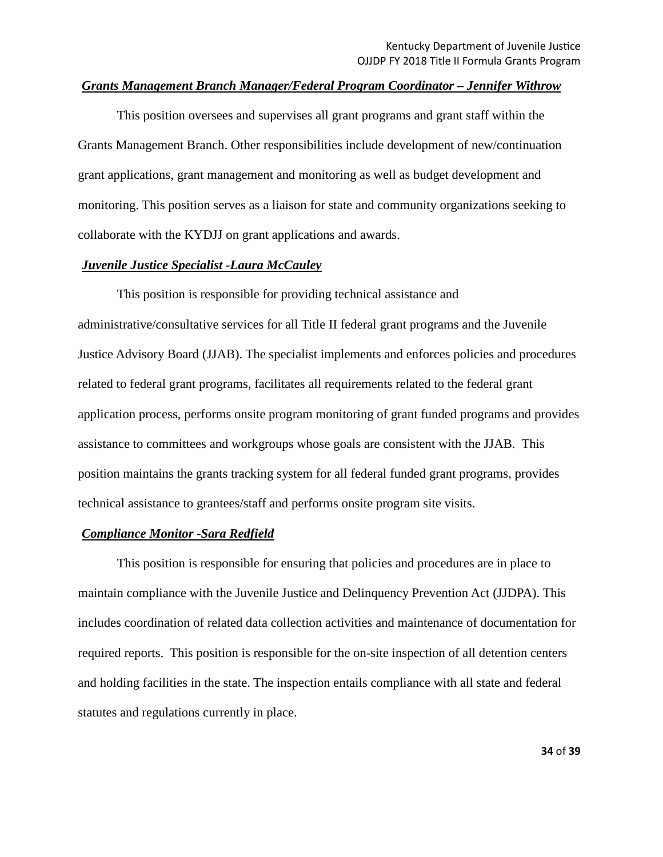#### *Grants Management Branch Manager/Federal Program Coordinator – Jennifer Withrow*

 This position oversees and supervises all grant programs and grant staff within the Grants Management Branch. Other responsibilities include development of new/continuation grant applications, grant management and monitoring as well as budget development and monitoring. This position serves as a liaison for state and community organizations seeking to collaborate with the KYDJJ on grant applications and awards.

#### *Juvenile Justice Specialist -Laura McCauley*

 Justice Advisory Board (JJAB). The specialist implements and enforces policies and procedures related to federal grant programs, facilitates all requirements related to the federal grant application process, performs onsite program monitoring of grant funded programs and provides assistance to committees and workgroups whose goals are consistent with the JJAB. This This position is responsible for providing technical assistance and administrative/consultative services for all Title II federal grant programs and the Juvenile position maintains the grants tracking system for all federal funded grant programs, provides technical assistance to grantees/staff and performs onsite program site visits.

#### *Compliance Monitor -Sara Redfield*

This position is responsible for ensuring that policies and procedures are in place to maintain compliance with the Juvenile Justice and Delinquency Prevention Act (JJDPA). This includes coordination of related data collection activities and maintenance of documentation for required reports. This position is responsible for the on-site inspection of all detention centers and holding facilities in the state. The inspection entails compliance with all state and federal statutes and regulations currently in place.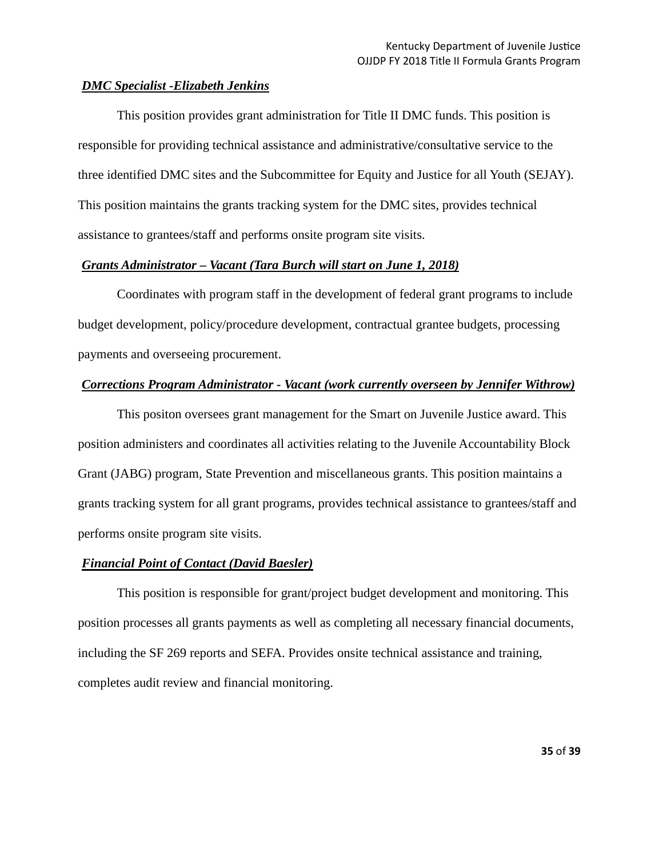#### *DMC Specialist -Elizabeth Jenkins*

 This position provides grant administration for Title II DMC funds. This position is responsible for providing technical assistance and administrative/consultative service to the three identified DMC sites and the Subcommittee for Equity and Justice for all Youth (SEJAY). This position maintains the grants tracking system for the DMC sites, provides technical assistance to grantees/staff and performs onsite program site visits.

#### *Grants Administrator – Vacant (Tara Burch will start on June 1, 2018)*

Coordinates with program staff in the development of federal grant programs to include budget development, policy/procedure development, contractual grantee budgets, processing payments and overseeing procurement.

#### *Corrections Program Administrator - Vacant (work currently overseen by Jennifer Withrow)*

 position administers and coordinates all activities relating to the Juvenile Accountability Block This positon oversees grant management for the Smart on Juvenile Justice award. This Grant (JABG) program, State Prevention and miscellaneous grants. This position maintains a grants tracking system for all grant programs, provides technical assistance to grantees/staff and performs onsite program site visits.

#### *Financial Point of Contact (David Baesler)*

This position is responsible for grant/project budget development and monitoring. This position processes all grants payments as well as completing all necessary financial documents, including the SF 269 reports and SEFA. Provides onsite technical assistance and training, completes audit review and financial monitoring.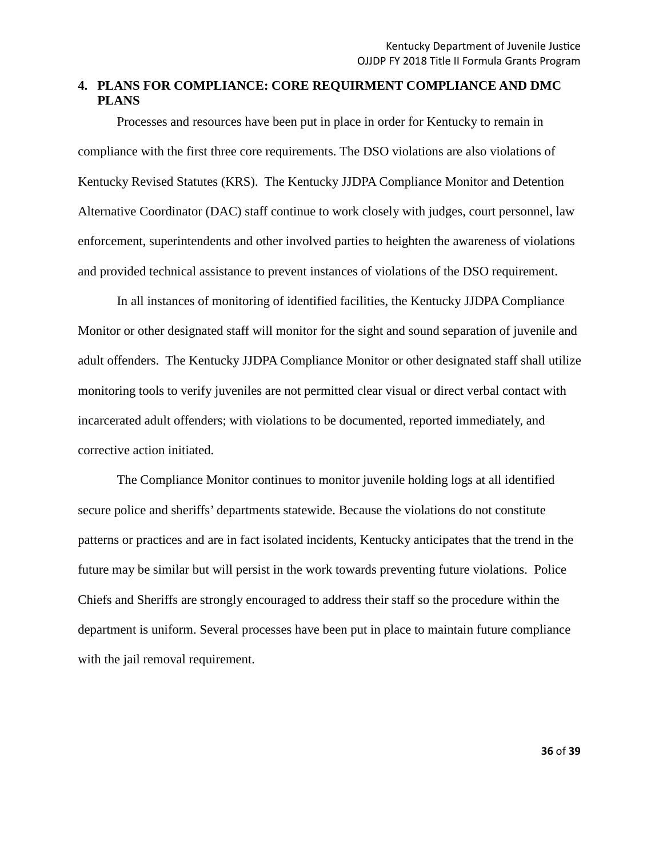# **PLANS 4. PLANS FOR COMPLIANCE: CORE REQUIRMENT COMPLIANCE AND DMC**

 Processes and resources have been put in place in order for Kentucky to remain in compliance with the first three core requirements. The DSO violations are also violations of Kentucky Revised Statutes (KRS). The Kentucky JJDPA Compliance Monitor and Detention Alternative Coordinator (DAC) staff continue to work closely with judges, court personnel, law enforcement, superintendents and other involved parties to heighten the awareness of violations and provided technical assistance to prevent instances of violations of the DSO requirement.

In all instances of monitoring of identified facilities, the Kentucky JJDPA Compliance Monitor or other designated staff will monitor for the sight and sound separation of juvenile and adult offenders. The Kentucky JJDPA Compliance Monitor or other designated staff shall utilize monitoring tools to verify juveniles are not permitted clear visual or direct verbal contact with incarcerated adult offenders; with violations to be documented, reported immediately, and corrective action initiated.

 patterns or practices and are in fact isolated incidents, Kentucky anticipates that the trend in the Chiefs and Sheriffs are strongly encouraged to address their staff so the procedure within the with the jail removal requirement. The Compliance Monitor continues to monitor juvenile holding logs at all identified secure police and sheriffs' departments statewide. Because the violations do not constitute future may be similar but will persist in the work towards preventing future violations. Police department is uniform. Several processes have been put in place to maintain future compliance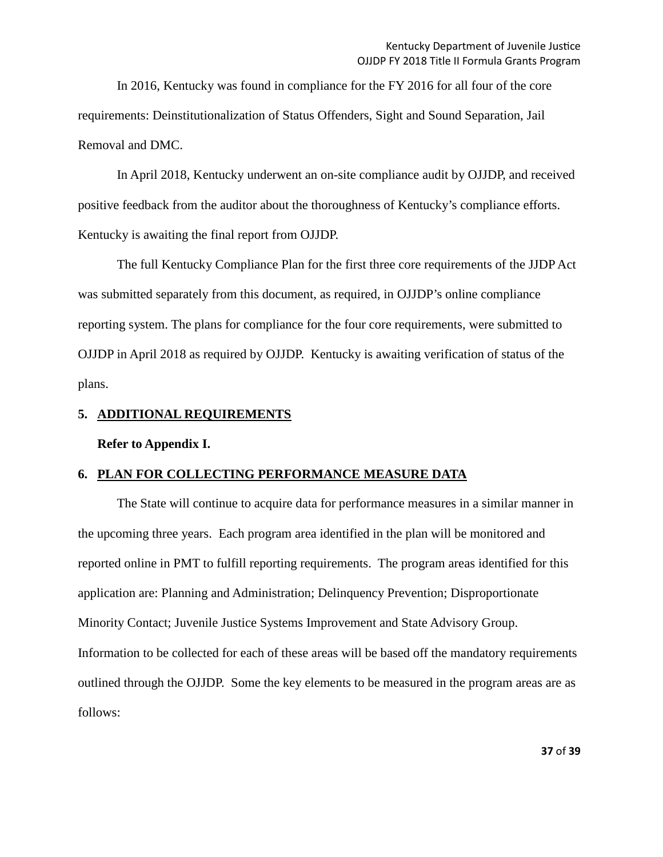In 2016, Kentucky was found in compliance for the FY 2016 for all four of the core requirements: Deinstitutionalization of Status Offenders, Sight and Sound Separation, Jail Removal and DMC.

 Kentucky is awaiting the final report from OJJDP. In April 2018, Kentucky underwent an on-site compliance audit by OJJDP, and received positive feedback from the auditor about the thoroughness of Kentucky's compliance efforts.

 The full Kentucky Compliance Plan for the first three core requirements of the JJDP Act was submitted separately from this document, as required, in OJJDP's online compliance reporting system. The plans for compliance for the four core requirements, were submitted to OJJDP in April 2018 as required by OJJDP. Kentucky is awaiting verification of status of the plans.

### **5. ADDITIONAL REQUIREMENTS**

#### **Refer to Appendix I.**

# **Refer to Appendix I. 6. PLAN FOR COLLECTING PERFORMANCE MEASURE DATA**

 reported online in PMT to fulfill reporting requirements. The program areas identified for this Minority Contact; Juvenile Justice Systems Improvement and State Advisory Group. outlined through the OJJDP. Some the key elements to be measured in the program areas are as The State will continue to acquire data for performance measures in a similar manner in the upcoming three years. Each program area identified in the plan will be monitored and application are: Planning and Administration; Delinquency Prevention; Disproportionate Information to be collected for each of these areas will be based off the mandatory requirements follows: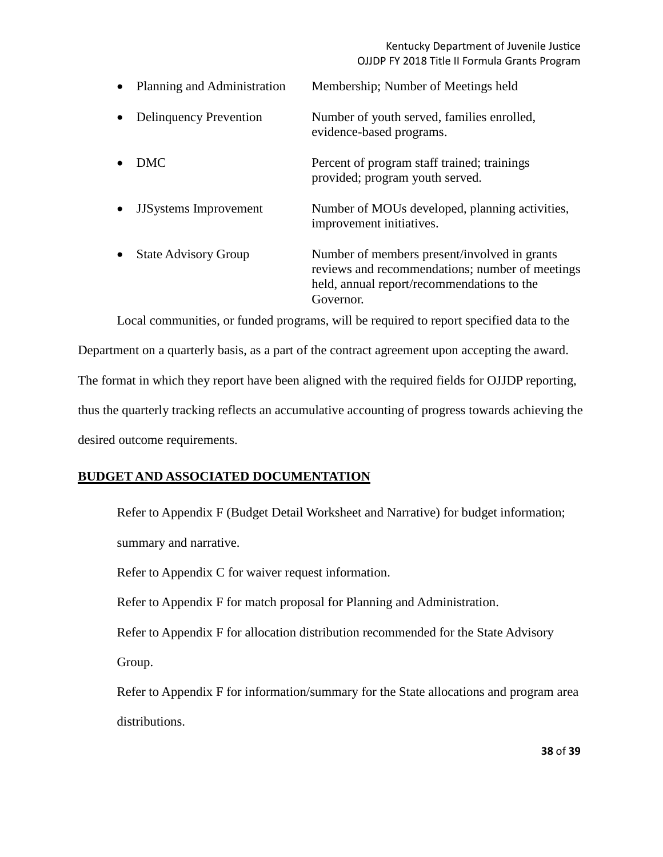OJJDP FY 2018 Title II Formula Grants Program Kentucky Department of Juvenile Justice

| $\bullet$ | Planning and Administration   | Membership; Number of Meetings held                                                                                                                        |
|-----------|-------------------------------|------------------------------------------------------------------------------------------------------------------------------------------------------------|
| $\bullet$ | Delinquency Prevention        | Number of youth served, families enrolled,<br>evidence-based programs.                                                                                     |
|           | DMC.                          | Percent of program staff trained; trainings<br>provided; program youth served.                                                                             |
|           | <b>JJS</b> ystems Improvement | Number of MOUs developed, planning activities,<br>improvement initiatives.                                                                                 |
| $\bullet$ | <b>State Advisory Group</b>   | Number of members present/involved in grants<br>reviews and recommendations; number of meetings<br>held, annual report/recommendations to the<br>Governor. |

 Department on a quarterly basis, as a part of the contract agreement upon accepting the award. Local communities, or funded programs, will be required to report specified data to the The format in which they report have been aligned with the required fields for OJJDP reporting, thus the quarterly tracking reflects an accumulative accounting of progress towards achieving the desired outcome requirements.

# **BUDGET AND ASSOCIATED DOCUMENTATION**

Refer to Appendix F (Budget Detail Worksheet and Narrative) for budget information; summary and narrative.

Refer to Appendix C for waiver request information.

Refer to Appendix F for match proposal for Planning and Administration.

 Refer to Appendix F for allocation distribution recommended for the State Advisory Group.

 Refer to Appendix F for information/summary for the State allocations and program area distributions.